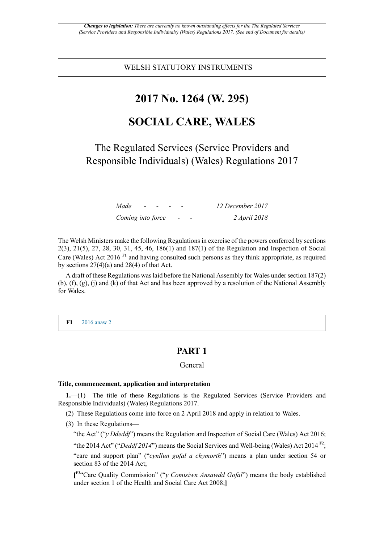WELSH STATUTORY INSTRUMENTS

# **2017 No. 1264 (W. 295)**

# **SOCIAL CARE, WALES**

The Regulated Services (Service Providers and Responsible Individuals) (Wales) Regulations 2017

| Made              | $\overline{\phantom{a}}$ |  |  | 12 December 2017 |
|-------------------|--------------------------|--|--|------------------|
| Coming into force |                          |  |  | 2 April 2018     |

The Welsh Ministers make the following Regulationsin exercise of the powers conferred by sections 2(3), 21(5), 27, 28, 30, 31, 45, 46, 186(1) and 187(1) of the Regulation and Inspection of Social Care (Wales) Act 2016 **F1** and having consulted such persons as they think appropriate, as required by sections  $27(4)(a)$  and  $28(4)$  of that Act.

A draft of these Regulations was laid before the National Assembly for Wales under section 187(2) (b), (f), (g), (j) and (k) of that Act and has been approved by a resolution of the National Assembly for Wales.

**F1** 2016 anaw 2

# **PART 1**

# General

#### **Title, commencement, application and interpretation**

**1.**—(1) The title of these Regulations is the Regulated Services (Service Providers and Responsible Individuals) (Wales) Regulations 2017.

(2) These Regulations come into force on 2 April 2018 and apply in relation to Wales.

(3) In these Regulations—

"the Act" ("*y Ddeddf*") means the Regulation and Inspection of Social Care (Wales) Act 2016;

"the 2014 Act" ("*Deddf 2014*") means the Social Services and Well-being (Wales) Act 2014<sup>F2</sup>;

"care and support plan" ("*cynllun gofal a chymorth*") means a plan under section 54 or section 83 of the 2014 Act;

**[ F3**"Care Quality Commission" ("*y Comisiwn Ansawdd Gofal*") means the body established under section 1 of the Health and Social Care Act 2008;**]**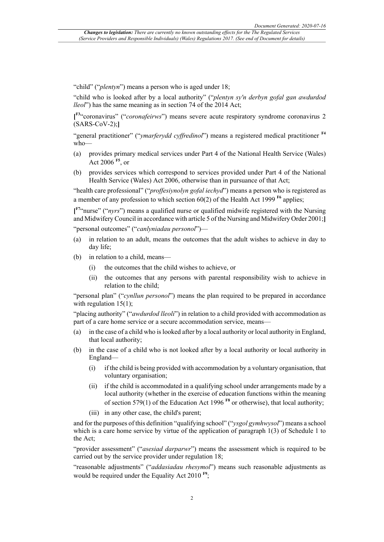"child" ("*plentyn*") means a person who is aged under 18;

"child who is looked after by a local authority" ("*plentyn sy'n derbyn gofal gan awdurdod lleol*") has the same meaning as in section 74 of the 2014 Act;

**[ F3**"coronavirus" ("*coronafeirws*") means severe acute respiratory syndrome coronavirus 2 (SARS-CoV-2);**]**

"general practitioner" ("*ymarferydd cyffredinol*") means a registered medical practitioner **F4** who—

- (a) provides primary medical services under Part 4 of the National Health Service (Wales) Act 2006 **F5**, or
- (b) provides services which correspond to services provided under Part 4 of the National Health Service (Wales) Act 2006, otherwise than in pursuance of that Act;

"health care professional" ("*proffesiynolyn gofal iechyd*") means a person who is registered as a member of any profession to which section  $60(2)$  of the Health Act 1999 <sup>F6</sup> applies;

**[ F7**"nurse" ("*nyrs*") means a qualified nurse or qualified midwife registered with the Nursing and Midwifery Council in accordance with article 5 of the Nursing and Midwifery Order 2001;**]**

"personal outcomes" ("*canlyniadau personol*")—

- (a) in relation to an adult, means the outcomes that the adult wishes to achieve in day to day life;
- (b) in relation to a child, means—
	- (i) the outcomes that the child wishes to achieve, or
	- (ii) the outcomes that any persons with parental responsibility wish to achieve in relation to the child;

"personal plan" ("*cynllun personol*") means the plan required to be prepared in accordance with regulation  $15(1)$ ;

"placing authority" ("*awdurdod lleoli*") in relation to a child provided with accommodation as part of a care home service or a secure accommodation service, means—

- (a) in the case of a child who is looked after by a local authority or local authority in England, that local authority;
- (b) in the case of a child who is not looked after by a local authority or local authority in England—
	- (i) if the child is being provided with accommodation by a voluntary organisation, that voluntary organisation;
	- (ii) if the child is accommodated in a qualifying school under arrangements made by a local authority (whether in the exercise of education functions within the meaning of section 579(1) of the Education Act 1996 **F8** or otherwise), that local authority;
	- (iii) in any other case, the child's parent;

and for the purposes of this definition "qualifying school" ("*ysgol gymhwysol*") means a school which is a care home service by virtue of the application of paragraph 1(3) of Schedule 1 to the Act;

"provider assessment" ("*asesiad darparwr*") means the assessment which is required to be carried out by the service provider under regulation 18;

"reasonable adjustments" ("*addasiadau rhesymol*") means such reasonable adjustments as would be required under the Equality Act 2010<sup>F9</sup>;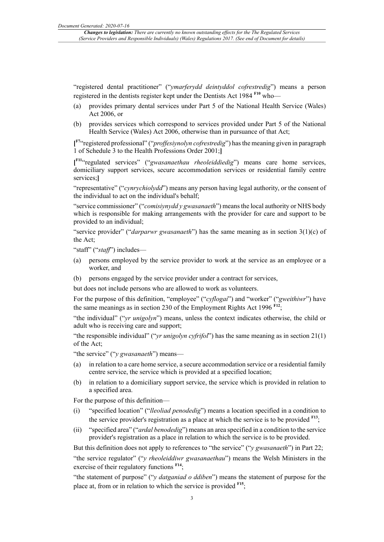"registered dental practitioner" ("*ymarferydd deintyddol cofrestredig*") means a person registered in the dentists register kept under the Dentists Act 1984 **F10** who—

- (a) provides primary dental services under Part 5 of the National Health Service (Wales) Act 2006, or
- (b) provides services which correspond to services provided under Part 5 of the National Health Service (Wales) Act 2006, otherwise than in pursuance of that Act;

**[ F7**"registered professional" ("*proffesiynolyn cofrestredig*") has the meaning given in paragraph 1 of Schedule 3 to the Health Professions Order 2001;**]**

**[ F11** "regulated services" ("*gwasanaethau rheoleiddiedig*") means care home services, domiciliary support services, secure accommodation services or residential family centre services;**]**

"representative" ("*cynrychiolydd*") means any person having legal authority, or the consent of the individual to act on the individual's behalf;

"service commissioner" ("*comisiynydd y gwasanaeth*") means the local authority or NHS body which is responsible for making arrangements with the provider for care and support to be provided to an individual;

"service provider" ("*darparwr gwasanaeth*") has the same meaning as in section 3(1)(c) of the Act;

"staff" ("*staff*") includes—

- (a) persons employed by the service provider to work at the service as an employee or a worker, and
- (b) persons engaged by the service provider under a contract for services,

but does not include persons who are allowed to work as volunteers.

For the purpose of this definition, "employee" ("*cyflogai*") and "worker" ("*gweithiwr*") have the same meanings as in section 230 of the Employment Rights Act 1996  $F12$ ;

"the individual" ("*yr unigolyn*") means, unless the context indicates otherwise, the child or adult who is receiving care and support;

"the responsible individual" ("*yr unigolyn cyfrifol*") has the same meaning as in section 21(1) of the Act;

"the service" ("*y gwasanaeth*") means—

- (a) in relation to a care home service, a secure accommodation service or a residential family centre service, the service which is provided at a specified location;
- (b) in relation to a domiciliary support service, the service which is provided in relation to a specified area.

For the purpose of this definition—

- (i) "specified location" ("*lleoliad penodedig*") means a location specified in a condition to the service provider's registration as a place at which the service is to be provided **F13**;
- (ii) "specified area" ("*ardal benodedig*") means an area specified in a condition to the service provider's registration as a place in relation to which the service is to be provided.

But this definition does not apply to references to "the service" ("*y gwasanaeth*") in Part 22;

"the service regulator" ("*y rheoleiddiwr gwasanaethau*") means the Welsh Ministers in the exercise of their regulatory functions  $F^{14}$ ;

"the statement of purpose" ("*y datganiad o ddiben*") means the statement of purpose for the place at, from or in relation to which the service is provided **F15**;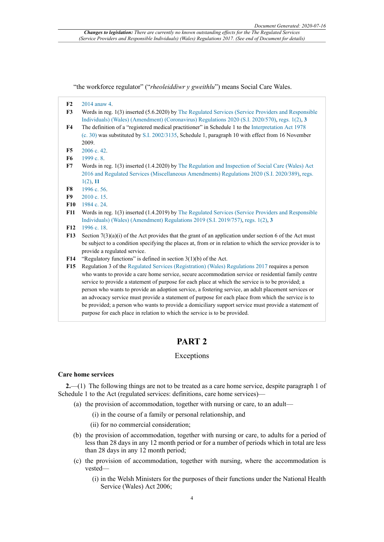"the workforce regulator" ("*rheoleiddiwr y gweithlu*") means Social Care Wales.

- **F3** Words in reg. 1(3) inserted (5.6.2020) by The Regulated Services (Service Providers and Responsible Individuals) (Wales) (Amendment) (Coronavirus) Regulations 2020 (S.I. 2020/570), regs. 1(2), **3**
- **F4** The definition of a "registered medical practitioner" in Schedule 1 to the Interpretation Act 1978 (c. 30) was substituted by S.I. 2002/3135, Schedule 1, paragraph 10 with effect from 16 November 2009.
- **F5** 2006 c. 42.
- **F6** 1999 c. 8.
- **F7** Words in reg. 1(3) inserted (1.4.2020) by The Regulation and Inspection of Social Care (Wales) Act 2016 and Regulated Services (Miscellaneous Amendments) Regulations 2020 (S.I. 2020/389), regs.  $1(2)$ , 11
- **F8** 1996 c. 56.
- **F9** 2010 c. 15.
- **F10** 1984 c. 24.
- **F11** Words in reg. 1(3) inserted (1.4.2019) by The Regulated Services (Service Providers and Responsible Individuals) (Wales) (Amendment) Regulations 2019 (S.I. 2019/757), regs. 1(2), **3**
- **F12** 1996 c. 18.
- **F13** Section 7(3)(a)(i) of the Act provides that the grant of an application under section 6 of the Act must be subject to a condition specifying the places at, from or in relation to which the service provider is to provide a regulated service.
- **F14** "Regulatory functions" is defined in section 3(1)(b) of the Act.
- **F15** Regulation 3 of the Regulated Services (Registration) (Wales) Regulations 2017 requires a person who wants to provide a care home service, secure accommodation service or residential family centre service to provide a statement of purpose for each place at which the service is to be provided; a person who wants to provide an adoption service, a fostering service, an adult placement services or an advocacy service must provide a statement of purpose for each place from which the service is to be provided; a person who wants to provide a domiciliary support service must provide a statement of purpose for each place in relation to which the service is to be provided.

# **PART 2**

# Exceptions

#### **Care home services**

**2.**—(1) The following things are not to be treated as a care home service, despite paragraph 1 of Schedule 1 to the Act (regulated services: definitions, care home services)—

(a) the provision of accommodation, together with nursing or care, to an adult—

- (i) in the course of a family or personal relationship, and
- (ii) for no commercial consideration;
- (b) the provision of accommodation, together with nursing or care, to adults for a period of less than 28 days in any 12 month period or for a number of periods which in total are less than 28 days in any 12 month period;
- (c) the provision of accommodation, together with nursing, where the accommodation is vested—
	- (i) in the Welsh Ministers for the purposes of their functions under the National Health Service (Wales) Act 2006;

**F2** 2014 anaw 4.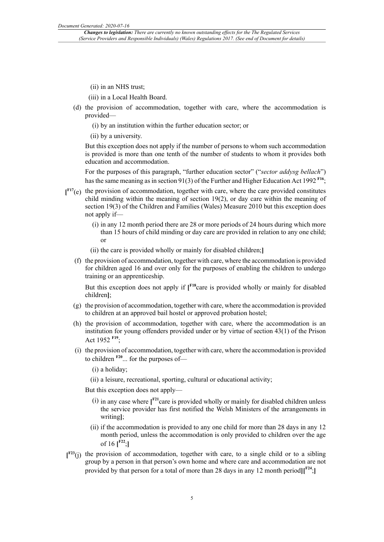(ii) in an NHS trust;

(iii) in a Local Health Board.

- (d) the provision of accommodation, together with care, where the accommodation is provided—
	- (i) by an institution within the further education sector; or

(ii) by a university.

But this exception does not apply if the number of persons to whom such accommodation is provided is more than one tenth of the number of students to whom it provides both education and accommodation.

For the purposes of this paragraph, "further education sector" ("*sector addysg bellach*") has the same meaning as in section 91(3) of the Further and Higher Education Act 1992 **F16**;

- **[ F17**(e) the provision of accommodation, together with care, where the care provided constitutes child minding within the meaning of section 19(2), or day care within the meaning of section 19(3) of the Children and Families (Wales) Measure 2010 but this exception does not apply if—
	- (i) in any 12 month period there are 28 or more periods of 24 hours during which more than 15 hours of child minding or day care are provided in relation to any one child; or
	- (ii) the care is provided wholly or mainly for disabled children;**]**
	- (f) the provision of accommodation, together with care, where the accommodation is provided for children aged 16 and over only for the purposes of enabling the children to undergo training or an apprenticeship.

But this exception does not apply if [<sup>F18</sup>care is provided wholly or mainly for disabled children**]**;

- (g) the provision of accommodation, together with care, where the accommodation is provided to children at an approved bail hostel or approved probation hostel;
- (h) the provision of accommodation, together with care, where the accommodation is an institution for young offenders provided under or by virtue of section 43(1) of the Prison Act 1952 **F19**;
- (i) the provision of accommodation, together with care, where the accommodation is provided to children **F20**... for the purposes of—

(i) a holiday;

(ii) a leisure, recreational, sporting, cultural or educational activity;

But this exception does not apply—

- (i) in any case where **[ F21**care is provided wholly or mainly for disabled children unless the service provider has first notified the Welsh Ministers of the arrangements in writing**]**;
- (ii) if the accommodation is provided to any one child for more than 28 days in any 12 month period, unless the accommodation is only provided to children over the age of 16 **[ F22**;**]**
- **[ F23**(j) the provision of accommodation, together with care, to a single child or to a sibling group by a person in that person's own home and where care and accommodation are not provided by that person for a total of more than 28 days in any 12 month period**][ F24**;**]**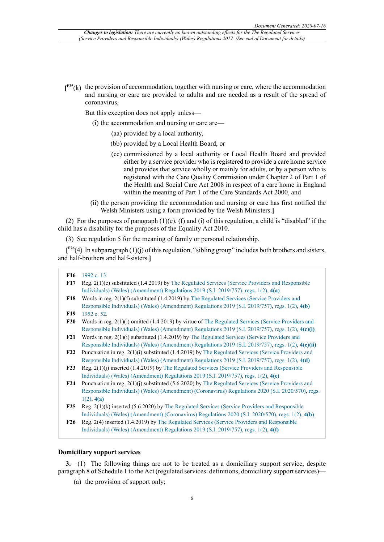**[ F25**(k) the provision of accommodation, together with nursing or care, where the accommodation and nursing or care are provided to adults and are needed as a result of the spread of coronavirus,

But this exception does not apply unless—

- (i) the accommodation and nursing or care are—
	- (aa) provided by a local authority,
	- (bb) provided by a Local Health Board, or
	- (cc) commissioned by a local authority or Local Health Board and provided either by a service provider who is registered to provide a care home service and provides that service wholly or mainly for adults, or by a person who is registered with the Care Quality Commission under Chapter 2 of Part 1 of the Health and Social Care Act 2008 in respect of a care home in England within the meaning of Part 1 of the Care Standards Act 2000, and
- (ii) the person providing the accommodation and nursing or care has first notified the Welsh Ministers using a form provided by the Welsh Ministers.**]**

(2) For the purposes of paragraph  $(1)(e)$ ,  $(f)$  and  $(i)$  of this regulation, a child is "disabled" if the child has a disability for the purposes of the Equality Act 2010.

(3) See regulation 5 for the meaning of family or personal relationship.

**[ F26**(4) In subparagraph (1)(j) of this regulation, "sibling group" includes both brothers and sisters, and half-brothers and half-sisters.**]**

#### **F16** 1992 c. 13.

- **F17** Reg. 2(1)(e) substituted (1.4.2019) by The Regulated Services (Service Providers and Responsible Individuals) (Wales) (Amendment) Regulations 2019 (S.I. 2019/757), regs. 1(2), **4(a)**
- **F18** Words in reg. 2(1)(f) substituted (1.4.2019) by The Regulated Services (Service Providers and Responsible Individuals) (Wales) (Amendment) Regulations 2019 (S.I. 2019/757), regs. 1(2), **4(b)**
- **F19** 1952 c. 52.
- **F20** Words in reg. 2(1)(i) omitted (1.4.2019) by virtue of The Regulated Services (Service Providers and Responsible Individuals) (Wales) (Amendment) Regulations 2019 (S.I. 2019/757), regs. 1(2), **4(c)(i)**
- **F21** Words in reg. 2(1)(i) substituted (1.4.2019) by The Regulated Services (Service Providers and Responsible Individuals) (Wales) (Amendment) Regulations 2019 (S.I. 2019/757), regs. 1(2), **4(c)(ii)**
- **F22** Punctuation in reg. 2(1)(i) substituted (1.4.2019) by The Regulated Services (Service Providers and Responsible Individuals) (Wales) (Amendment) Regulations 2019 (S.I. 2019/757), regs. 1(2), **4(d)**
- **F23** Reg. 2(1)(j) inserted (1.4.2019) by The Regulated Services (Service Providers and Responsible Individuals) (Wales) (Amendment) Regulations 2019 (S.I. 2019/757), regs. 1(2), **4(e)**
- **F24** Punctuation in reg. 2(1)(j) substituted (5.6.2020) by The Regulated Services (Service Providers and Responsible Individuals) (Wales) (Amendment) (Coronavirus) Regulations 2020 (S.I. 2020/570), regs. 1(2), **4(a)**
- **F25** Reg. 2(1)(k) inserted (5.6.2020) by The Regulated Services (Service Providers and Responsible Individuals) (Wales) (Amendment) (Coronavirus) Regulations 2020 (S.I. 2020/570), regs. 1(2), **4(b)**

#### **Domiciliary support services**

**3.**—(1) The following things are not to be treated as a domiciliary support service, despite paragraph 8 of Schedule 1 to the Act (regulated services: definitions, domiciliary support services)—

(a) the provision of support only;

**F26** Reg. 2(4) inserted (1.4.2019) by The Regulated Services (Service Providers and Responsible Individuals) (Wales) (Amendment) Regulations 2019 (S.I. 2019/757), regs. 1(2), **4(f)**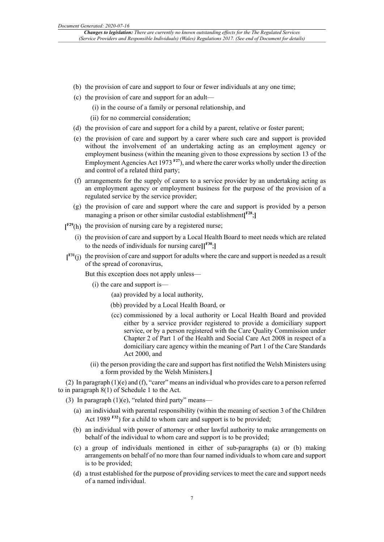- (b) the provision of care and support to four or fewer individuals at any one time;
- (c) the provision of care and support for an adult—
	- (i) in the course of a family or personal relationship, and
	- (ii) for no commercial consideration;
- (d) the provision of care and support for a child by a parent, relative or foster parent;
- (e) the provision of care and support by a carer where such care and support is provided without the involvement of an undertaking acting as an employment agency or employment business (within the meaning given to those expressions by section 13 of the Employment Agencies Act 1973 **F27**), and where the carer works wholly under the direction and control of a related third party;
- (f) arrangements for the supply of carers to a service provider by an undertaking acting as an employment agency or employment business for the purpose of the provision of a regulated service by the service provider;
- (g) the provision of care and support where the care and support is provided by a person managing a prison or other similar custodial establishment**[ F28**;**]**
- **[ F29**(h) the provision of nursing care by a registered nurse;
	- (i) the provision of care and support by a Local Health Board to meet needs which are related to the needs of individuals for nursing care**][ F30**;**]**
- **[ F31**(j) the provision of care and support for adults where the care and support is needed as a result of the spread of coronavirus,

But this exception does not apply unless—

- (i) the care and support is—
	- (aa) provided by a local authority,
	- (bb) provided by a Local Health Board, or
	- (cc) commissioned by a local authority or Local Health Board and provided either by a service provider registered to provide a domiciliary support service, or by a person registered with the Care Quality Commission under Chapter 2 of Part 1 of the Health and Social Care Act 2008 in respect of a domiciliary care agency within the meaning of Part 1 of the Care Standards Act 2000, and
- (ii) the person providing the care and support hasfirst notified the Welsh Ministers using a form provided by the Welsh Ministers.**]**

(2) In paragraph  $(1)(e)$  and  $(f)$ , "carer" means an individual who provides care to a person referred to in paragraph 8(1) of Schedule 1 to the Act.

(3) In paragraph  $(1)(e)$ , "related third party" means—

- (a) an individual with parental responsibility (within the meaning of section 3 of the Children Act 1989 **F32**) for a child to whom care and support is to be provided;
- (b) an individual with power of attorney or other lawful authority to make arrangements on behalf of the individual to whom care and support is to be provided;
- (c) a group of individuals mentioned in either of sub-paragraphs (a) or (b) making arrangements on behalf of no more than four named individuals to whom care and support is to be provided;
- (d) a trust established for the purpose of providing services to meet the care and support needs of a named individual.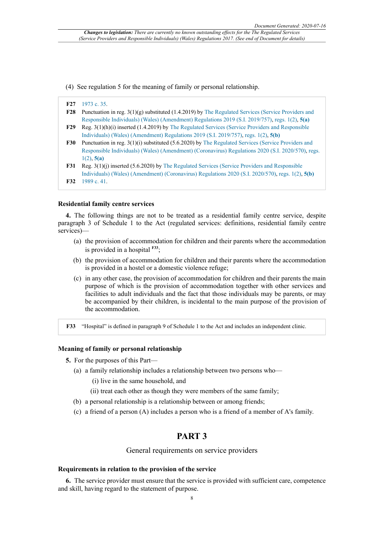(4) See regulation 5 for the meaning of family or personal relationship.

|            | F27 1973 c. 35.                                                                                       |
|------------|-------------------------------------------------------------------------------------------------------|
| <b>F28</b> | Punctuation in reg. $3(1)(g)$ substituted (1.4.2019) by The Regulated Services (Service Providers and |
|            | Responsible Individuals) (Wales) (Amendment) Regulations 2019 (S.I. 2019/757), regs. 1(2), 5(a)       |
| <b>F29</b> | Reg. $3(1)(h)(i)$ inserted $(1.4.2019)$ by The Regulated Services (Service Providers and Responsible  |
|            | Individuals) (Wales) (Amendment) Regulations 2019 (S.I. 2019/757), regs. 1(2), 5(b)                   |
| <b>F30</b> | Punctuation in reg. 3(1)(i) substituted (5.6.2020) by The Regulated Services (Service Providers and   |
|            | Responsible Individuals) (Wales) (Amendment) (Coronavirus) Regulations 2020 (S.I. 2020/570), regs.    |
|            | $1(2)$ , 5(a)                                                                                         |
| <b>F31</b> | Reg. $3(1)(j)$ inserted $(5.6.2020)$ by The Regulated Services (Service Providers and Responsible     |

Individuals) (Wales) (Amendment) (Coronavirus) Regulations 2020 (S.I. 2020/570), regs. 1(2), **5(b) F32** 1989 c. 41.

#### **Residential family centre services**

**4.** The following things are not to be treated as a residential family centre service, despite paragraph 3 of Schedule 1 to the Act (regulated services: definitions, residential family centre services)—

- (a) the provision of accommodation for children and their parents where the accommodation is provided in a hospital **F33**;
- (b) the provision of accommodation for children and their parents where the accommodation is provided in a hostel or a domestic violence refuge;
- (c) in any other case, the provision of accommodation for children and their parents the main purpose of which is the provision of accommodation together with other services and facilities to adult individuals and the fact that those individuals may be parents, or may be accompanied by their children, is incidental to the main purpose of the provision of the accommodation.

**F33** "Hospital" is defined in paragraph 9 of Schedule 1 to the Act and includes an independent clinic.

### **Meaning of family or personal relationship**

- **5.** For the purposes of this Part—
	- (a) a family relationship includes a relationship between two persons who—
		- (i) live in the same household, and
		- (ii) treat each other as though they were members of the same family;
	- (b) a personal relationship is a relationship between or among friends;
	- (c) a friend of a person (A) includes a person who is a friend of a member of A's family.

# **PART 3**

General requirements on service providers

#### **Requirements in relation to the provision of the service**

**6.** The service provider must ensure that the service is provided with sufficient care, competence and skill, having regard to the statement of purpose.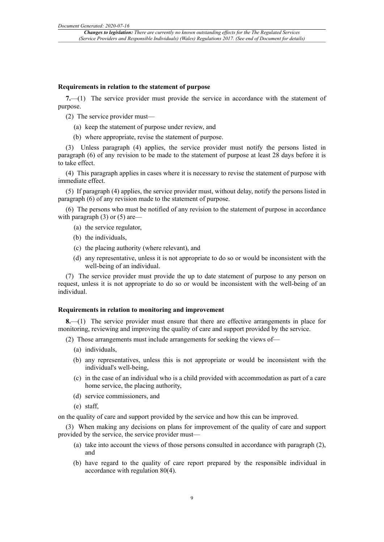#### **Requirements in relation to the statement of purpose**

**7.**—(1) The service provider must provide the service in accordance with the statement of purpose.

- (2) The service provider must—
	- (a) keep the statement of purpose under review, and
	- (b) where appropriate, revise the statement of purpose.

(3) Unless paragraph (4) applies, the service provider must notify the persons listed in paragraph (6) of any revision to be made to the statement of purpose at least 28 days before it is to take effect.

(4) This paragraph applies in cases where it is necessary to revise the statement of purpose with immediate effect.

(5) If paragraph (4) applies, the service provider must, without delay, notify the persons listed in paragraph (6) of any revision made to the statement of purpose.

(6) The persons who must be notified of any revision to the statement of purpose in accordance with paragraph  $(3)$  or  $(5)$  are—

- (a) the service regulator,
- (b) the individuals,
- (c) the placing authority (where relevant), and
- (d) any representative, unless it is not appropriate to do so or would be inconsistent with the well-being of an individual.

(7) The service provider must provide the up to date statement of purpose to any person on request, unless it is not appropriate to do so or would be inconsistent with the well-being of an individual.

#### **Requirements in relation to monitoring and improvement**

**8.**—(1) The service provider must ensure that there are effective arrangements in place for monitoring, reviewing and improving the quality of care and support provided by the service.

(2) Those arrangements must include arrangements for seeking the views of—

- (a) individuals,
- (b) any representatives, unless this is not appropriate or would be inconsistent with the individual's well-being,
- (c) in the case of an individual who is a child provided with accommodation as part of a care home service, the placing authority,
- (d) service commissioners, and
- (e) staff,

on the quality of care and support provided by the service and how this can be improved.

(3) When making any decisions on plans for improvement of the quality of care and support provided by the service, the service provider must—

- (a) take into account the views of those persons consulted in accordance with paragraph (2), and
- (b) have regard to the quality of care report prepared by the responsible individual in accordance with regulation 80(4).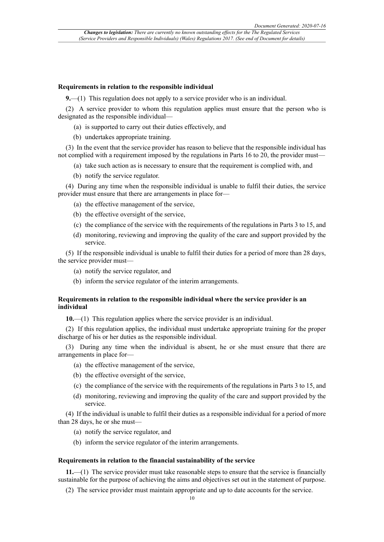#### **Requirements in relation to the responsible individual**

**9.**—(1) This regulation does not apply to a service provider who is an individual.

(2) A service provider to whom this regulation applies must ensure that the person who is designated as the responsible individual—

- (a) is supported to carry out their duties effectively, and
- (b) undertakes appropriate training.

(3) In the event that the service provider has reason to believe that the responsible individual has not complied with a requirement imposed by the regulations in Parts 16 to 20, the provider must—

- (a) take such action as is necessary to ensure that the requirement is complied with, and
- (b) notify the service regulator.

(4) During any time when the responsible individual is unable to fulfil their duties, the service provider must ensure that there are arrangements in place for—

- (a) the effective management of the service,
- (b) the effective oversight of the service,
- (c) the compliance of the service with the requirements of the regulations in Parts 3 to 15, and
- (d) monitoring, reviewing and improving the quality of the care and support provided by the service.

(5) If the responsible individual is unable to fulfil their duties for a period of more than 28 days, the service provider must—

- (a) notify the service regulator, and
- (b) inform the service regulator of the interim arrangements.

# **Requirements in relation to the responsible individual where the service provider is an individual**

**10.**—(1) This regulation applies where the service provider is an individual.

(2) If this regulation applies, the individual must undertake appropriate training for the proper discharge of his or her duties as the responsible individual.

(3) During any time when the individual is absent, he or she must ensure that there are arrangements in place for—

- (a) the effective management of the service,
- (b) the effective oversight of the service,
- (c) the compliance of the service with the requirements of the regulations in Parts 3 to 15, and
- (d) monitoring, reviewing and improving the quality of the care and support provided by the service.

(4) If the individual is unable to fulfil their duties as a responsible individual for a period of more than 28 days, he or she must—

- (a) notify the service regulator, and
- (b) inform the service regulator of the interim arrangements.

#### **Requirements in relation to the financial sustainability of the service**

**11.**—(1) The service provider must take reasonable steps to ensure that the service is financially sustainable for the purpose of achieving the aims and objectives set out in the statement of purpose.

(2) The service provider must maintain appropriate and up to date accounts for the service.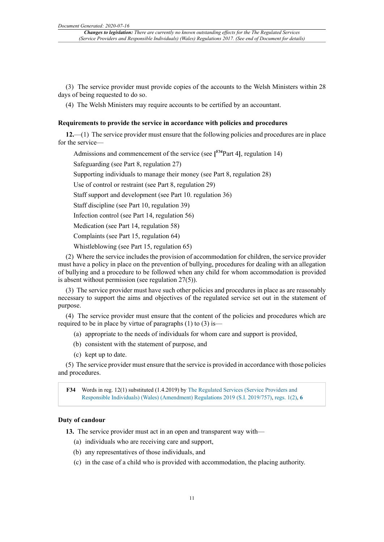(3) The service provider must provide copies of the accounts to the Welsh Ministers within 28 days of being requested to do so.

(4) The Welsh Ministers may require accounts to be certified by an accountant.

### **Requirements to provide the service in accordance with policies and procedures**

**12.**—(1) The service provider must ensure that the following policies and procedures are in place for the service—

Admissions and commencement of the service (see **[ F34**Part 4**]**, regulation 14)

Safeguarding (see Part 8, regulation 27)

Supporting individuals to manage their money (see Part 8, regulation 28)

Use of control or restraint (see Part 8, regulation 29)

Staff support and development (see Part 10. regulation 36)

Staff discipline (see Part 10, regulation 39)

Infection control (see Part 14, regulation 56)

Medication (see Part 14, regulation 58)

Complaints (see Part 15, regulation 64)

Whistleblowing (see Part 15, regulation 65)

(2) Where the service includes the provision of accommodation for children, the service provider must have a policy in place on the prevention of bullying, procedures for dealing with an allegation of bullying and a procedure to be followed when any child for whom accommodation is provided is absent without permission (see regulation 27(5)).

(3) The service provider must have such other policies and procedures in place as are reasonably necessary to support the aims and objectives of the regulated service set out in the statement of purpose.

(4) The service provider must ensure that the content of the policies and procedures which are required to be in place by virtue of paragraphs (1) to (3) is—

- (a) appropriate to the needs of individuals for whom care and support is provided,
- (b) consistent with the statement of purpose, and
- (c) kept up to date.

(5) The service provider must ensure that the service is provided in accordance with those policies and procedures.

**F34** Words in reg. 12(1) substituted (1.4.2019) by The Regulated Services (Service Providers and Responsible Individuals) (Wales) (Amendment) Regulations 2019 (S.I. 2019/757), regs. 1(2), **6**

### **Duty of candour**

**13.** The service provider must act in an open and transparent way with—

- (a) individuals who are receiving care and support,
- (b) any representatives of those individuals, and
- (c) in the case of a child who is provided with accommodation, the placing authority.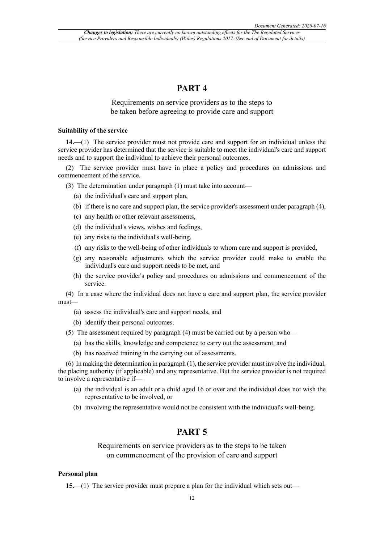# **PART 4**

# Requirements on service providers as to the steps to be taken before agreeing to provide care and support

#### **Suitability of the service**

**14.**—(1) The service provider must not provide care and support for an individual unless the service provider has determined that the service is suitable to meet the individual's care and support needs and to support the individual to achieve their personal outcomes.

(2) The service provider must have in place a policy and procedures on admissions and commencement of the service.

- (3) The determination under paragraph (1) must take into account—
	- (a) the individual's care and support plan,
	- (b) if there is no care and support plan, the service provider's assessment under paragraph (4),
	- (c) any health or other relevant assessments,
	- (d) the individual's views, wishes and feelings,
	- (e) any risks to the individual's well-being,
	- (f) any risks to the well-being of other individuals to whom care and support is provided,
	- (g) any reasonable adjustments which the service provider could make to enable the individual's care and support needs to be met, and
	- (h) the service provider's policy and procedures on admissions and commencement of the service.

(4) In a case where the individual does not have a care and support plan, the service provider must—

- (a) assess the individual's care and support needs, and
- (b) identify their personal outcomes.

(5) The assessment required by paragraph (4) must be carried out by a person who—

- (a) has the skills, knowledge and competence to carry out the assessment, and
- (b) has received training in the carrying out of assessments.

(6) In making the determination in paragraph (1), the service provider must involve the individual, the placing authority (if applicable) and any representative. But the service provider is not required to involve a representative if—

- (a) the individual is an adult or a child aged 16 or over and the individual does not wish the representative to be involved, or
- (b) involving the representative would not be consistent with the individual's well-being.

# **PART 5**

Requirements on service providers as to the steps to be taken on commencement of the provision of care and support

#### **Personal plan**

**15.**—(1) The service provider must prepare a plan for the individual which sets out—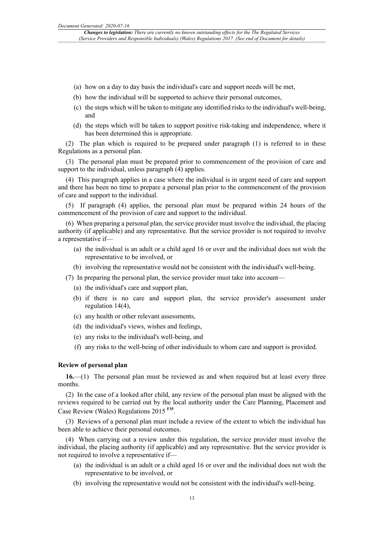- (a) how on a day to day basis the individual's care and support needs will be met,
- (b) how the individual will be supported to achieve their personal outcomes,
- (c) the steps which will be taken to mitigate any identified risks to the individual's well-being, and
- (d) the steps which will be taken to support positive risk-taking and independence, where it has been determined this is appropriate.

(2) The plan which is required to be prepared under paragraph (1) is referred to in these Regulations as a personal plan.

(3) The personal plan must be prepared prior to commencement of the provision of care and support to the individual, unless paragraph (4) applies.

(4) This paragraph applies in a case where the individual is in urgent need of care and support and there has been no time to prepare a personal plan prior to the commencement of the provision of care and support to the individual.

(5) If paragraph (4) applies, the personal plan must be prepared within 24 hours of the commencement of the provision of care and support to the individual.

(6) When preparing a personal plan, the service provider must involve the individual, the placing authority (if applicable) and any representative. But the service provider is not required to involve a representative if—

- (a) the individual is an adult or a child aged 16 or over and the individual does not wish the representative to be involved, or
- (b) involving the representative would not be consistent with the individual's well-being.
- (7) In preparing the personal plan, the service provider must take into account—
	- (a) the individual's care and support plan,
	- (b) if there is no care and support plan, the service provider's assessment under regulation 14(4),
	- (c) any health or other relevant assessments,
	- (d) the individual's views, wishes and feelings,
	- (e) any risks to the individual's well-being, and
	- (f) any risks to the well-being of other individuals to whom care and support is provided.

### **Review of personal plan**

**16.**—(1) The personal plan must be reviewed as and when required but at least every three months.

(2) In the case of a looked after child, any review of the personal plan must be aligned with the reviews required to be carried out by the local authority under the Care Planning, Placement and Case Review (Wales) Regulations 2015 **F35** .

(3) Reviews of a personal plan must include a review of the extent to which the individual has been able to achieve their personal outcomes.

(4) When carrying out a review under this regulation, the service provider must involve the individual, the placing authority (if applicable) and any representative. But the service provider is not required to involve a representative if—

- (a) the individual is an adult or a child aged 16 or over and the individual does not wish the representative to be involved, or
- (b) involving the representative would not be consistent with the individual's well-being.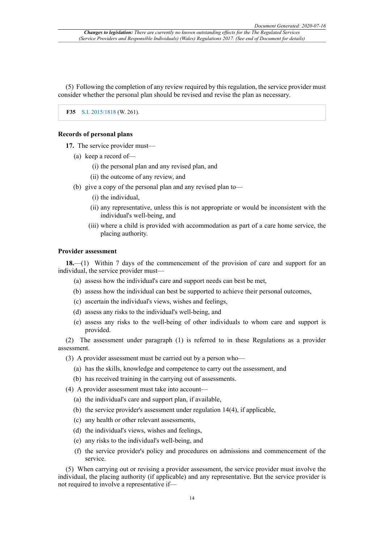(5) Following the completion of any review required by this regulation, the service provider must consider whether the personal plan should be revised and revise the plan as necessary.

**F35** S.I. 2015/1818 (W. 261).

### **Records of personal plans**

**17.** The service provider must—

- (a) keep a record of—
	- (i) the personal plan and any revised plan, and
	- (ii) the outcome of any review, and
- (b) give a copy of the personal plan and any revised plan to—
	- (i) the individual,
	- (ii) any representative, unless this is not appropriate or would be inconsistent with the individual's well-being, and
	- (iii) where a child is provided with accommodation as part of a care home service, the placing authority.

### **Provider assessment**

**18.**—(1) Within 7 days of the commencement of the provision of care and support for an individual, the service provider must—

- (a) assess how the individual's care and support needs can best be met,
- (b) assess how the individual can best be supported to achieve their personal outcomes,
- (c) ascertain the individual's views, wishes and feelings,
- (d) assess any risks to the individual's well-being, and
- (e) assess any risks to the well-being of other individuals to whom care and support is provided.

(2) The assessment under paragraph (1) is referred to in these Regulations as a provider assessment.

- (3) A provider assessment must be carried out by a person who—
	- (a) has the skills, knowledge and competence to carry out the assessment, and
	- (b) has received training in the carrying out of assessments.
- (4) A provider assessment must take into account—
	- (a) the individual's care and support plan, if available,
	- (b) the service provider's assessment under regulation 14(4), if applicable,
	- (c) any health or other relevant assessments,
	- (d) the individual's views, wishes and feelings,
	- (e) any risks to the individual's well-being, and
	- (f) the service provider's policy and procedures on admissions and commencement of the service.

(5) When carrying out or revising a provider assessment, the service provider must involve the individual, the placing authority (if applicable) and any representative. But the service provider is not required to involve a representative if—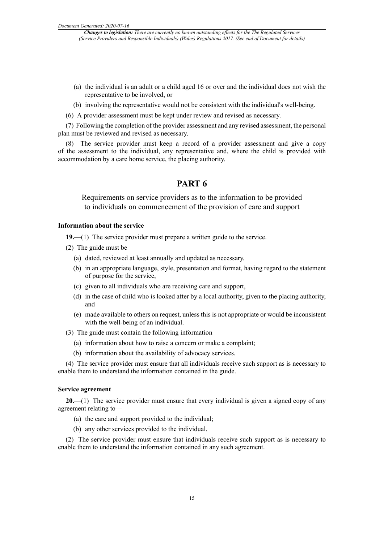- (a) the individual is an adult or a child aged 16 or over and the individual does not wish the representative to be involved, or
- (b) involving the representative would not be consistent with the individual's well-being.
- (6) A provider assessment must be kept under review and revised as necessary.

(7) Following the completion of the provider assessment and any revised assessment, the personal plan must be reviewed and revised as necessary.

(8) The service provider must keep a record of a provider assessment and give a copy of the assessment to the individual, any representative and, where the child is provided with accommodation by a care home service, the placing authority.

# **PART 6**

Requirements on service providers as to the information to be provided to individuals on commencement of the provision of care and support

### **Information about the service**

**19.**—(1) The service provider must prepare a written guide to the service.

- (2) The guide must be—
	- (a) dated, reviewed at least annually and updated as necessary,
	- (b) in an appropriate language, style, presentation and format, having regard to the statement of purpose for the service,
	- (c) given to all individuals who are receiving care and support,
	- (d) in the case of child who is looked after by a local authority, given to the placing authority, and
	- (e) made available to others on request, unless this is not appropriate or would be inconsistent with the well-being of an individual.

(3) The guide must contain the following information—

- (a) information about how to raise a concern or make a complaint;
- (b) information about the availability of advocacy services.

(4) The service provider must ensure that all individuals receive such support as is necessary to enable them to understand the information contained in the guide.

#### **Service agreement**

**20.**—(1) The service provider must ensure that every individual is given a signed copy of any agreement relating to—

- (a) the care and support provided to the individual;
- (b) any other services provided to the individual.

(2) The service provider must ensure that individuals receive such support as is necessary to enable them to understand the information contained in any such agreement.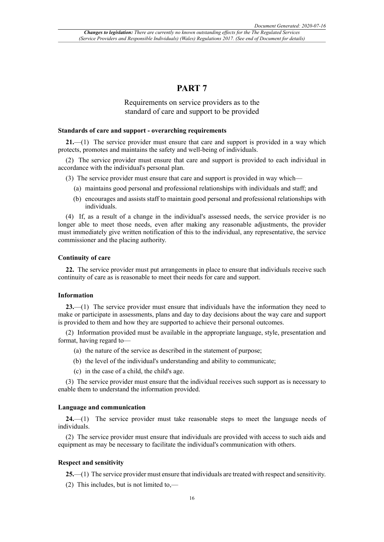# **PART 7**

# Requirements on service providers as to the standard of care and support to be provided

#### **Standards of care and support - overarching requirements**

**21.**—(1) The service provider must ensure that care and support is provided in a way which protects, promotes and maintains the safety and well-being of individuals.

(2) The service provider must ensure that care and support is provided to each individual in accordance with the individual's personal plan.

- (3) The service provider must ensure that care and support is provided in way which—
	- (a) maintains good personal and professional relationships with individuals and staff; and
	- (b) encourages and assists staff to maintain good personal and professional relationships with individuals.

(4) If, as a result of a change in the individual's assessed needs, the service provider is no longer able to meet those needs, even after making any reasonable adjustments, the provider must immediately give written notification of this to the individual, any representative, the service commissioner and the placing authority.

### **Continuity of care**

**22.** The service provider must put arrangements in place to ensure that individuals receive such continuity of care as is reasonable to meet their needs for care and support.

#### **Information**

**23.**—(1) The service provider must ensure that individuals have the information they need to make or participate in assessments, plans and day to day decisions about the way care and support is provided to them and how they are supported to achieve their personal outcomes.

(2) Information provided must be available in the appropriate language, style, presentation and format, having regard to—

- (a) the nature of the service as described in the statement of purpose;
- (b) the level of the individual's understanding and ability to communicate;
- (c) in the case of a child, the child's age.

(3) The service provider must ensure that the individual receives such support as is necessary to enable them to understand the information provided.

#### **Language and communication**

**24.**—(1) The service provider must take reasonable steps to meet the language needs of individuals.

(2) The service provider must ensure that individuals are provided with access to such aids and equipment as may be necessary to facilitate the individual's communication with others.

### **Respect and sensitivity**

**25.**—(1) The service provider must ensure that individuals are treated with respect and sensitivity.

(2) This includes, but is not limited to,—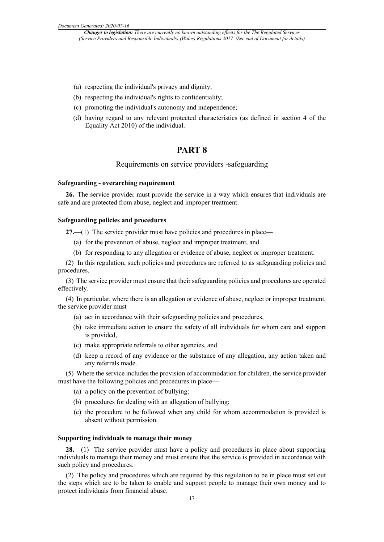- (a) respecting the individual's privacy and dignity;
- (b) respecting the individual's rights to confidentiality;
- (c) promoting the individual's autonomy and independence;
- (d) having regard to any relevant protected characteristics (as defined in section 4 of the Equality Act 2010) of the individual.

# **PART 8**

### Requirements on service providers -safeguarding

### **Safeguarding - overarching requirement**

**26.** The service provider must provide the service in a way which ensures that individuals are safe and are protected from abuse, neglect and improper treatment.

#### **Safeguarding policies and procedures**

**27.**—(1) The service provider must have policies and procedures in place—

- (a) for the prevention of abuse, neglect and improper treatment, and
- (b) for responding to any allegation or evidence of abuse, neglect or improper treatment.

(2) In this regulation, such policies and procedures are referred to as safeguarding policies and procedures.

(3) The service provider must ensure that their safeguarding policies and procedures are operated effectively.

(4) In particular, where there is an allegation or evidence of abuse, neglect or improper treatment, the service provider must—

- (a) act in accordance with their safeguarding policies and procedures,
- (b) take immediate action to ensure the safety of all individuals for whom care and support is provided,
- (c) make appropriate referrals to other agencies, and
- (d) keep a record of any evidence or the substance of any allegation, any action taken and any referrals made.

(5) Where the service includes the provision of accommodation for children, the service provider must have the following policies and procedures in place—

- (a) a policy on the prevention of bullying;
- (b) procedures for dealing with an allegation of bullying;
- (c) the procedure to be followed when any child for whom accommodation is provided is absent without permission.

#### **Supporting individuals to manage their money**

**28.**—(1) The service provider must have a policy and procedures in place about supporting individuals to manage their money and must ensure that the service is provided in accordance with such policy and procedures.

(2) The policy and procedures which are required by this regulation to be in place must set out the steps which are to be taken to enable and support people to manage their own money and to protect individuals from financial abuse.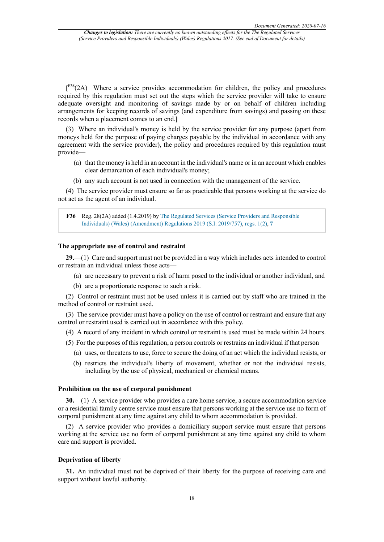**[ F36**(2A) Where a service provides accommodation for children, the policy and procedures required by this regulation must set out the steps which the service provider will take to ensure adequate oversight and monitoring of savings made by or on behalf of children including arrangements for keeping records of savings (and expenditure from savings) and passing on these records when a placement comes to an end.**]**

(3) Where an individual's money is held by the service provider for any purpose (apart from moneys held for the purpose of paying charges payable by the individual in accordance with any agreement with the service provider), the policy and procedures required by this regulation must provide—

- (a) that the money is held in an account in the individual's name or in an account which enables clear demarcation of each individual's money;
- (b) any such account is not used in connection with the management of the service.

(4) The service provider must ensure so far as practicable that persons working at the service do not act as the agent of an individual.

**F36** Reg. 28(2A) added (1.4.2019) by The Regulated Services (Service Providers and Responsible Individuals) (Wales) (Amendment) Regulations 2019 (S.I. 2019/757), regs. 1(2), **7**

#### **The appropriate use of control and restraint**

**29.**—(1) Care and support must not be provided in a way which includes acts intended to control or restrain an individual unless those acts—

- (a) are necessary to prevent a risk of harm posed to the individual or another individual, and
- (b) are a proportionate response to such a risk.

(2) Control or restraint must not be used unless it is carried out by staff who are trained in the method of control or restraint used.

(3) The service provider must have a policy on the use of control or restraint and ensure that any control or restraint used is carried out in accordance with this policy.

(4) A record of any incident in which control or restraint is used must be made within 24 hours.

(5) For the purposes of this regulation, a person controls or restrains an individual if that person—

- (a) uses, or threatens to use, force to secure the doing of an act which the individual resists, or
- (b) restricts the individual's liberty of movement, whether or not the individual resists, including by the use of physical, mechanical or chemical means.

#### **Prohibition on the use of corporal punishment**

**30.**—(1) A service provider who provides a care home service, a secure accommodation service or a residential family centre service must ensure that persons working at the service use no form of corporal punishment at any time against any child to whom accommodation is provided.

(2) A service provider who provides a domiciliary support service must ensure that persons working at the service use no form of corporal punishment at any time against any child to whom care and support is provided.

#### **Deprivation of liberty**

**31.** An individual must not be deprived of their liberty for the purpose of receiving care and support without lawful authority.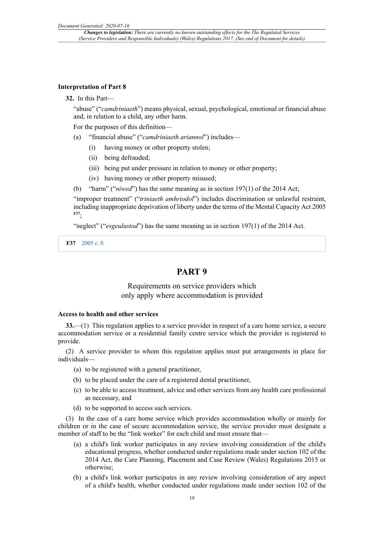#### **Interpretation of Part 8**

#### **32.** In this Part—

"abuse" ("*camdriniaeth*") means physical, sexual, psychological, emotional or financial abuse and, in relation to a child, any other harm.

For the purposes of this definition—

- (a) "financial abuse" ("*camdriniaeth ariannol*") includes—
	- (i) having money or other property stolen;
	- (ii) being defrauded;
	- (iii) being put under pressure in relation to money or other property;
	- (iv) having money or other property misused;
- (b) "harm" ("*niwed*") has the same meaning as in section 197(1) of the 2014 Act;

"improper treatment" ("*triniaeth amhriodol*") includes discrimination or unlawful restraint, including inappropriate deprivation of liberty under the terms of the Mental Capacity Act 2005 **F37**;

"neglect" ("*esgeulustod*") has the same meaning as in section 197(1) of the 2014 Act.

**F37** 2005 c. 9.

# **PART 9**

# Requirements on service providers which only apply where accommodation is provided

### **Access to health and other services**

**33.**—(1) This regulation applies to a service provider in respect of a care home service, a secure accommodation service or a residential family centre service which the provider is registered to provide.

(2) A service provider to whom this regulation applies must put arrangements in place for individuals—

- (a) to be registered with a general practitioner,
- (b) to be placed under the care of a registered dental practitioner,
- (c) to be able to access treatment, advice and other services from any health care professional as necessary, and
- (d) to be supported to access such services.

(3) In the case of a care home service which provides accommodation wholly or mainly for children or in the case of secure accommodation service, the service provider must designate a member of staff to be the "link worker" for each child and must ensure that—

- (a) a child's link worker participates in any review involving consideration of the child's educational progress, whether conducted under regulations made under section 102 of the 2014 Act, the Care Planning, Placement and Case Review (Wales) Regulations 2015 or otherwise;
- (b) a child's link worker participates in any review involving consideration of any aspect of a child's health, whether conducted under regulations made under section 102 of the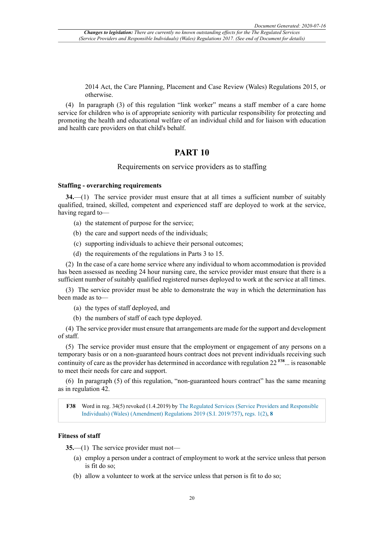2014 Act, the Care Planning, Placement and Case Review (Wales) Regulations 2015, or otherwise.

(4) In paragraph (3) of this regulation "link worker" means a staff member of a care home service for children who is of appropriate seniority with particular responsibility for protecting and promoting the health and educational welfare of an individual child and for liaison with education and health care providers on that child's behalf.

# **PART 10**

# Requirements on service providers as to staffing

#### **Staffing - overarching requirements**

**34.**—(1) The service provider must ensure that at all times a sufficient number of suitably qualified, trained, skilled, competent and experienced staff are deployed to work at the service, having regard to—

- (a) the statement of purpose for the service;
- (b) the care and support needs of the individuals;
- (c) supporting individuals to achieve their personal outcomes;
- (d) the requirements of the regulations in Parts 3 to 15.

(2) In the case of a care home service where any individual to whom accommodation is provided has been assessed as needing 24 hour nursing care, the service provider must ensure that there is a sufficient number of suitably qualified registered nurses deployed to work at the service at all times.

(3) The service provider must be able to demonstrate the way in which the determination has been made as to—

- (a) the types of staff deployed, and
- (b) the numbers of staff of each type deployed.

(4) The service provider must ensure that arrangements are made for the support and development of staff.

(5) The service provider must ensure that the employment or engagement of any persons on a temporary basis or on a non-guaranteed hours contract does not prevent individuals receiving such continuity of care as the provider has determined in accordance with regulation 22 **F38**... is reasonable to meet their needs for care and support.

(6) In paragraph (5) of this regulation, "non-guaranteed hours contract" has the same meaning as in regulation 42.

**F38** Word in reg. 34(5) revoked (1.4.2019) by The Regulated Services (Service Providers and Responsible Individuals) (Wales) (Amendment) Regulations 2019 (S.I. 2019/757), regs. 1(2), **8**

# **Fitness of staff**

**35.**—(1) The service provider must not—

- (a) employ a person under a contract of employment to work at the service unless that person is fit do so;
- (b) allow a volunteer to work at the service unless that person is fit to do so;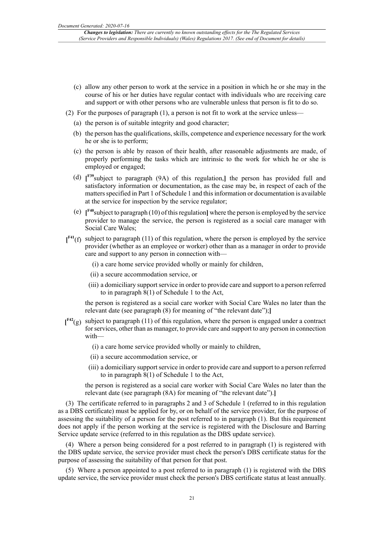- (c) allow any other person to work at the service in a position in which he or she may in the course of his or her duties have regular contact with individuals who are receiving care and support or with other persons who are vulnerable unless that person is fit to do so.
- (2) For the purposes of paragraph (1), a person is not fit to work at the service unless—
	- (a) the person is of suitable integrity and good character;
	- (b) the person has the qualifications, skills, competence and experience necessary for the work he or she is to perform;
	- (c) the person is able by reason of their health, after reasonable adjustments are made, of properly performing the tasks which are intrinsic to the work for which he or she is employed or engaged;
	- (d) **[ F39**subject to paragraph (9A) of this regulation,**]** the person has provided full and satisfactory information or documentation, as the case may be, in respect of each of the matters specified in Part 1 of Schedule 1 and this information or documentation is available at the service for inspection by the service regulator;
	- (e) **[ F40**subject to paragraph (10) of this regulation**]** where the person is employed by the service provider to manage the service, the person is registered as a social care manager with Social Care Wales;
- $\mathbf{f}^{\text{F41}}(f)$  subject to paragraph (11) of this regulation, where the person is employed by the service provider (whether as an employee or worker) other than as a manager in order to provide care and support to any person in connection with—
	- (i) a care home service provided wholly or mainly for children,
	- (ii) a secure accommodation service, or
	- (iii) a domiciliary support service in order to provide care and support to a person referred to in paragraph 8(1) of Schedule 1 to the Act,

the person is registered as a social care worker with Social Care Wales no later than the relevant date (see paragraph (8) for meaning of "the relevant date");**]**

- **[ F42**(g) subject to paragraph (11) of this regulation, where the person is engaged under a contract for services, other than as manager, to provide care and support to any person in connection with—
	- (i) a care home service provided wholly or mainly to children,
	- (ii) a secure accommodation service, or
	- (iii) a domiciliary support service in order to provide care and support to a person referred to in paragraph 8(1) of Schedule 1 to the Act,

the person is registered as a social care worker with Social Care Wales no later than the relevant date (see paragraph (8A) for meaning of "the relevant date").**]**

(3) The certificate referred to in paragraphs 2 and 3 of Schedule 1 (referred to in this regulation as a DBS certificate) must be applied for by, or on behalf of the service provider, for the purpose of assessing the suitability of a person for the post referred to in paragraph (1). But this requirement does not apply if the person working at the service is registered with the Disclosure and Barring Service update service (referred to in this regulation as the DBS update service).

(4) Where a person being considered for a post referred to in paragraph (1) is registered with the DBS update service, the service provider must check the person's DBS certificate status for the purpose of assessing the suitability of that person for that post.

(5) Where a person appointed to a post referred to in paragraph (1) is registered with the DBS update service, the service provider must check the person's DBS certificate status at least annually.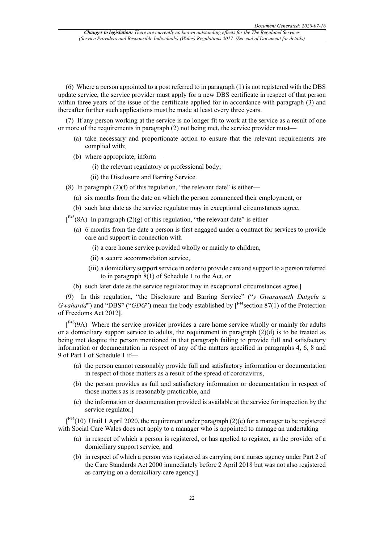(6) Where a person appointed to a post referred to in paragraph (1) is not registered with the DBS update service, the service provider must apply for a new DBS certificate in respect of that person within three years of the issue of the certificate applied for in accordance with paragraph (3) and thereafter further such applications must be made at least every three years.

(7) If any person working at the service is no longer fit to work at the service as a result of one or more of the requirements in paragraph (2) not being met, the service provider must—

- (a) take necessary and proportionate action to ensure that the relevant requirements are complied with;
- (b) where appropriate, inform—
	- (i) the relevant regulatory or professional body;
	- (ii) the Disclosure and Barring Service.
- (8) In paragraph  $(2)(f)$  of this regulation, "the relevant date" is either—
	- (a) six months from the date on which the person commenced their employment, or
	- (b) such later date as the service regulator may in exceptional circumstances agree.

**[ F43**(8A) In paragraph (2)(g) of this regulation, "the relevant date" is either—

- (a) 6 months from the date a person is first engaged under a contract for services to provide care and support in connection with–
	- (i) a care home service provided wholly or mainly to children,
	- (ii) a secure accommodation service,
	- (iii) a domiciliary support service in order to provide care and support to a person referred to in paragraph 8(1) of Schedule 1 to the Act, or
- (b) such later date as the service regulator may in exceptional circumstances agree.**]**

(9) In this regulation, "the Disclosure and Barring Service" ("*y Gwasanaeth Datgelu a Gwahardd*") and "DBS" ("*GDG*") mean the body established by [<sup>F44</sup> section 87(1) of the Protection of Freedoms Act 2012**]**.

**[ F45**(9A) Where the service provider provides a care home service wholly or mainly for adults or a domiciliary support service to adults, the requirement in paragraph  $(2)(d)$  is to be treated as being met despite the person mentioned in that paragraph failing to provide full and satisfactory information or documentation in respect of any of the matters specified in paragraphs 4, 6, 8 and 9 of Part 1 of Schedule 1 if—

- (a) the person cannot reasonably provide full and satisfactory information or documentation in respect of those matters as a result of the spread of coronavirus,
- (b) the person provides as full and satisfactory information or documentation in respect of those matters as is reasonably practicable, and
- (c) the information or documentation provided is available at the service for inspection by the service regulator.**]**

**[ F46**(10) Until 1 April 2020, the requirement under paragraph (2)(e) for a manager to be registered with Social Care Wales does not apply to a manager who is appointed to manage an undertaking—

- (a) in respect of which a person is registered, or has applied to register, as the provider of a domiciliary support service, and
- (b) in respect of which a person was registered as carrying on a nurses agency under Part 2 of the Care Standards Act 2000 immediately before 2 April 2018 but was not also registered as carrying on a domiciliary care agency.**]**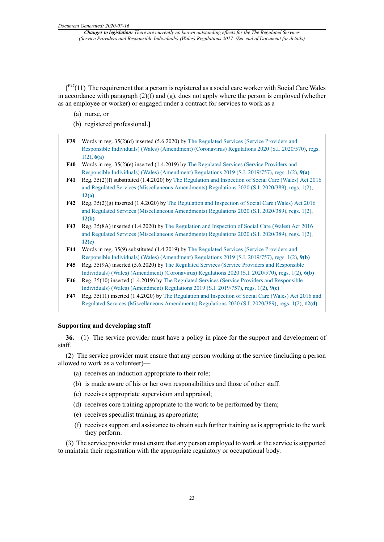$[$ <sup>F47</sup>(11) The requirement that a person is registered as a social care worker with Social Care Wales in accordance with paragraph  $(2)(f)$  and  $(g)$ , does not apply where the person is employed (whether as an employee or worker) or engaged under a contract for services to work as a—

- (a) nurse, or
- (b) registered professional.**]**
- **F39** Words in reg. 35(2)(d) inserted (5.6.2020) by The Regulated Services (Service Providers and Responsible Individuals) (Wales) (Amendment) (Coronavirus) Regulations 2020 (S.I. 2020/570), regs. 1(2), **6(a)**
- **F40** Words in reg. 35(2)(e) inserted (1.4.2019) by The Regulated Services (Service Providers and Responsible Individuals) (Wales) (Amendment) Regulations 2019 (S.I. 2019/757), regs. 1(2), **9(a)**
- **F41** Reg. 35(2)(f) substituted (1.4.2020) by The Regulation and Inspection of Social Care (Wales) Act 2016 and Regulated Services (Miscellaneous Amendments) Regulations 2020 (S.I. 2020/389), regs. 1(2), **12(a)**
- **F42** Reg. 35(2)(g) inserted (1.4.2020) by The Regulation and Inspection of Social Care (Wales) Act 2016 and Regulated Services (Miscellaneous Amendments) Regulations 2020 (S.I. 2020/389), regs. 1(2), **12(b)**
- **F43** Reg. 35(8A) inserted (1.4.2020) by The Regulation and Inspection of Social Care (Wales) Act 2016 and Regulated Services (Miscellaneous Amendments) Regulations 2020 (S.I. 2020/389), regs. 1(2), **12(c)**
- **F44** Words in reg. 35(9) substituted (1.4.2019) by The Regulated Services (Service Providers and Responsible Individuals) (Wales) (Amendment) Regulations 2019 (S.I. 2019/757), regs. 1(2), **9(b)**
- **F45** Reg. 35(9A) inserted (5.6.2020) by The Regulated Services (Service Providers and Responsible Individuals) (Wales) (Amendment) (Coronavirus) Regulations 2020 (S.I. 2020/570), regs. 1(2), **6(b)**
- **F46** Reg. 35(10) inserted (1.4.2019) by The Regulated Services (Service Providers and Responsible Individuals) (Wales) (Amendment) Regulations 2019 (S.I. 2019/757), regs. 1(2), **9(c)**
- **F47** Reg. 35(11) inserted (1.4.2020) by The Regulation and Inspection of Social Care (Wales) Act 2016 and Regulated Services (Miscellaneous Amendments) Regulations 2020 (S.I. 2020/389), regs. 1(2), **12(d)**

#### **Supporting and developing staff**

**36.**—(1) The service provider must have a policy in place for the support and development of staff.

(2) The service provider must ensure that any person working at the service (including a person allowed to work as a volunteer)—

- (a) receives an induction appropriate to their role;
- (b) is made aware of his or her own responsibilities and those of other staff.
- (c) receives appropriate supervision and appraisal;
- (d) receives core training appropriate to the work to be performed by them;
- (e) receives specialist training as appropriate;
- (f) receives support and assistance to obtain such further training as is appropriate to the work they perform.

(3) The service provider must ensure that any person employed to work at the service is supported to maintain their registration with the appropriate regulatory or occupational body.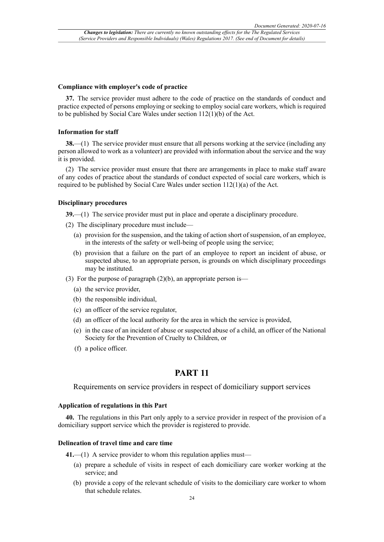#### **Compliance with employer's code of practice**

**37.** The service provider must adhere to the code of practice on the standards of conduct and practice expected of persons employing or seeking to employ social care workers, which is required to be published by Social Care Wales under section 112(1)(b) of the Act.

#### **Information for staff**

**38.**—(1) The service provider must ensure that all persons working at the service (including any person allowed to work as a volunteer) are provided with information about the service and the way it is provided.

(2) The service provider must ensure that there are arrangements in place to make staff aware of any codes of practice about the standards of conduct expected of social care workers, which is required to be published by Social Care Wales under section 112(1)(a) of the Act.

#### **Disciplinary procedures**

**39.**—(1) The service provider must put in place and operate a disciplinary procedure.

- (2) The disciplinary procedure must include—
	- (a) provision for the suspension, and the taking of action short of suspension, of an employee, in the interests of the safety or well-being of people using the service;
	- (b) provision that a failure on the part of an employee to report an incident of abuse, or suspected abuse, to an appropriate person, is grounds on which disciplinary proceedings may be instituted.
- (3) For the purpose of paragraph  $(2)(b)$ , an appropriate person is—
	- (a) the service provider,
	- (b) the responsible individual,
	- (c) an officer of the service regulator,
	- (d) an officer of the local authority for the area in which the service is provided,
	- (e) in the case of an incident of abuse or suspected abuse of a child, an officer of the National Society for the Prevention of Cruelty to Children, or
	- (f) a police officer.

# **PART 11**

Requirements on service providers in respect of domiciliary support services

### **Application of regulations in this Part**

**40.** The regulations in this Part only apply to a service provider in respect of the provision of a domiciliary support service which the provider is registered to provide.

#### **Delineation of travel time and care time**

**41.**—(1) A service provider to whom this regulation applies must—

- (a) prepare a schedule of visits in respect of each domiciliary care worker working at the service; and
- (b) provide a copy of the relevant schedule of visits to the domiciliary care worker to whom that schedule relates.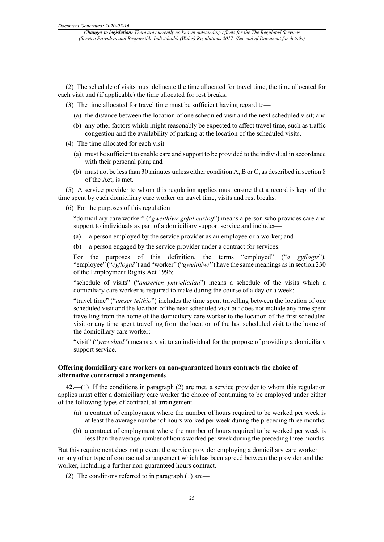(2) The schedule of visits must delineate the time allocated for travel time, the time allocated for each visit and (if applicable) the time allocated for rest breaks.

(3) The time allocated for travel time must be sufficient having regard to—

- (a) the distance between the location of one scheduled visit and the next scheduled visit; and
- (b) any other factors which might reasonably be expected to affect travel time, such as traffic congestion and the availability of parking at the location of the scheduled visits.
- (4) The time allocated for each visit—
	- (a) must be sufficient to enable care and support to be provided to the individual in accordance with their personal plan; and
	- (b) must not be less than 30 minutes unless either condition A, B or C, as described in section 8 of the Act, is met.

(5) A service provider to whom this regulation applies must ensure that a record is kept of the time spent by each domiciliary care worker on travel time, visits and rest breaks.

(6) For the purposes of this regulation—

"domiciliary care worker" ("*gweithiwr gofal cartref*") means a person who provides care and support to individuals as part of a domiciliary support service and includes-

(a) a person employed by the service provider as an employee or a worker; and

(b) a person engaged by the service provider under a contract for services.

For the purposes of this definition, the terms "employed" ("*a gyflogir*"), "employee" ("*cyflogai*") and "worker" ("*gweithiwr*") have the same meanings as in section 230 of the Employment Rights Act 1996;

"schedule of visits" ("*amserlen ymweliadau*") means a schedule of the visits which a domiciliary care worker is required to make during the course of a day or a week;

"travel time" ("*amser teithio*") includes the time spent travelling between the location of one scheduled visit and the location of the next scheduled visit but does not include any time spent travelling from the home of the domiciliary care worker to the location of the first scheduled visit or any time spent travelling from the location of the last scheduled visit to the home of the domiciliary care worker;

"visit" ("*ymweliad*") means a visit to an individual for the purpose of providing a domiciliary support service.

### **Offering domiciliary care workers on non-guaranteed hours contracts the choice of alternative contractual arrangements**

**42.**—(1) If the conditions in paragraph (2) are met, a service provider to whom this regulation applies must offer a domiciliary care worker the choice of continuing to be employed under either of the following types of contractual arrangement—

- (a) a contract of employment where the number of hours required to be worked per week is at least the average number of hours worked per week during the preceding three months;
- (b) a contract of employment where the number of hours required to be worked per week is less than the average number of hours worked per week during the preceding three months.

But this requirement does not prevent the service provider employing a domiciliary care worker on any other type of contractual arrangement which has been agreed between the provider and the worker, including a further non-guaranteed hours contract.

(2) The conditions referred to in paragraph (1) are—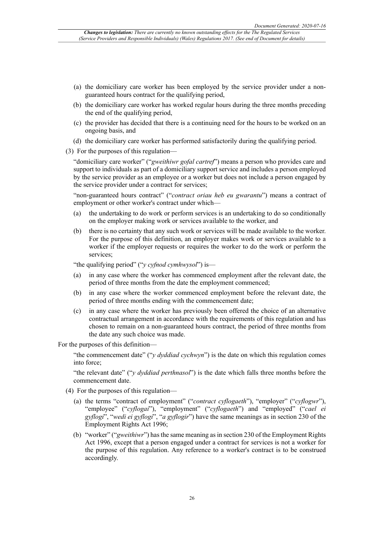- (a) the domiciliary care worker has been employed by the service provider under a nonguaranteed hours contract for the qualifying period,
- (b) the domiciliary care worker has worked regular hours during the three months preceding the end of the qualifying period,
- (c) the provider has decided that there is a continuing need for the hours to be worked on an ongoing basis, and
- (d) the domiciliary care worker has performed satisfactorily during the qualifying period.
- (3) For the purposes of this regulation—

"domiciliary care worker" ("*gweithiwr gofal cartref*") means a person who provides care and support to individuals as part of a domiciliary support service and includes a person employed by the service provider as an employee or a worker but does not include a person engaged by the service provider under a contract for services;

"non-guaranteed hours contract" ("*contract oriau heb eu gwarantu*") means a contract of employment or other worker's contract under which—

- (a) the undertaking to do work or perform services is an undertaking to do so conditionally on the employer making work or services available to the worker, and
- (b) there is no certainty that any such work or services will be made available to the worker. For the purpose of this definition, an employer makes work or services available to a worker if the employer requests or requires the worker to do the work or perform the services;

"the qualifying period" ("*y cyfnod cymhwysol*") is—

- (a) in any case where the worker has commenced employment after the relevant date, the period of three months from the date the employment commenced;
- (b) in any case where the worker commenced employment before the relevant date, the period of three months ending with the commencement date;
- (c) in any case where the worker has previously been offered the choice of an alternative contractual arrangement in accordance with the requirements of this regulation and has chosen to remain on a non-guaranteed hours contract, the period of three months from the date any such choice was made.

For the purposes of this definition—

"the commencement date" ("*y dyddiad cychwyn*") is the date on which this regulation comes into force;

"the relevant date" ("*y dyddiad perthnasol*") is the date which falls three months before the commencement date.

- (4) For the purposes of this regulation—
	- (a) the terms "contract of employment" ("*contract cyflogaeth*"), "employer" ("*cyflogwr*"), "employee" ("*cyflogai*"), "employment" ("*cyflogaeth*") and "employed" ("*cael ei gyflogi*", "*wedi ei gyflogi*", "*a gyflogir*") have the same meanings as in section 230 of the Employment Rights Act 1996;
	- (b) "worker" ("*gweithiwr*") has the same meaning as in section 230 of the Employment Rights Act 1996, except that a person engaged under a contract for services is not a worker for the purpose of this regulation. Any reference to a worker's contract is to be construed accordingly.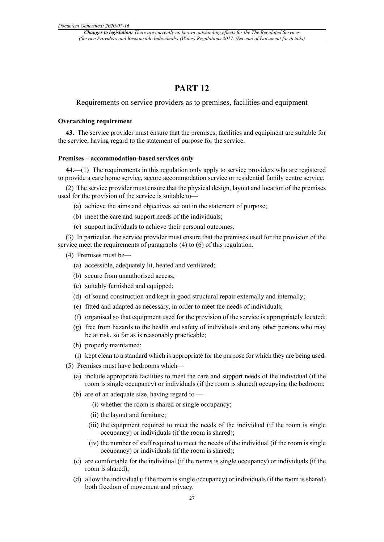# **PART 12**

Requirements on service providers as to premises, facilities and equipment

#### **Overarching requirement**

**43.** The service provider must ensure that the premises, facilities and equipment are suitable for the service, having regard to the statement of purpose for the service.

#### **Premises – accommodation-based services only**

**44.**—(1) The requirements in this regulation only apply to service providers who are registered to provide a care home service, secure accommodation service or residential family centre service.

(2) The service provider must ensure that the physical design, layout and location of the premises used for the provision of the service is suitable to—

- (a) achieve the aims and objectives set out in the statement of purpose;
- (b) meet the care and support needs of the individuals;
- (c) support individuals to achieve their personal outcomes.

(3) In particular, the service provider must ensure that the premises used for the provision of the service meet the requirements of paragraphs (4) to (6) of this regulation.

- (4) Premises must be—
	- (a) accessible, adequately lit, heated and ventilated;
	- (b) secure from unauthorised access;
	- (c) suitably furnished and equipped;
	- (d) of sound construction and kept in good structural repair externally and internally;
	- (e) fitted and adapted as necessary, in order to meet the needs of individuals;
	- (f) organised so that equipment used for the provision of the service is appropriately located;
	- (g) free from hazards to the health and safety of individuals and any other persons who may be at risk, so far as is reasonably practicable;
	- (h) properly maintained;
	- (i) kept clean to a standard which is appropriate for the purpose for which they are being used.
- (5) Premises must have bedrooms which—
	- (a) include appropriate facilities to meet the care and support needs of the individual (if the room is single occupancy) or individuals (if the room is shared) occupying the bedroom;
	- (b) are of an adequate size, having regard to
		- (i) whether the room is shared or single occupancy;
		- (ii) the layout and furniture;
		- (iii) the equipment required to meet the needs of the individual (if the room is single occupancy) or individuals (if the room is shared);
		- (iv) the number of staff required to meet the needs of the individual (if the room is single occupancy) or individuals (if the room is shared);
	- (c) are comfortable for the individual (if the rooms is single occupancy) or individuals (if the room is shared);
	- (d) allow the individual (if the room is single occupancy) or individuals (if the room is shared) both freedom of movement and privacy.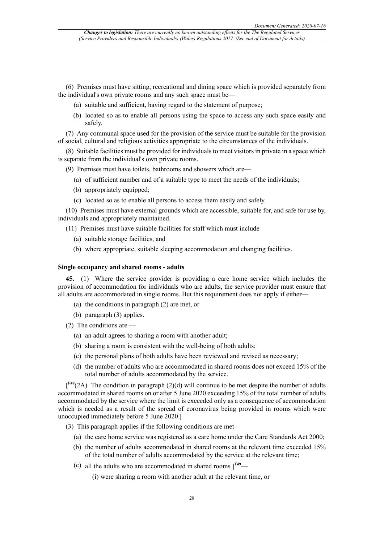(6) Premises must have sitting, recreational and dining space which is provided separately from the individual's own private rooms and any such space must be—

- (a) suitable and sufficient, having regard to the statement of purpose;
- (b) located so as to enable all persons using the space to access any such space easily and safely.

(7) Any communal space used for the provision of the service must be suitable for the provision of social, cultural and religious activities appropriate to the circumstances of the individuals.

(8) Suitable facilities must be provided for individuals to meet visitors in private in a space which is separate from the individual's own private rooms.

(9) Premises must have toilets, bathrooms and showers which are—

- (a) of sufficient number and of a suitable type to meet the needs of the individuals;
- (b) appropriately equipped;
- (c) located so as to enable all persons to access them easily and safely.

(10) Premises must have external grounds which are accessible, suitable for, and safe for use by, individuals and appropriately maintained.

(11) Premises must have suitable facilities for staff which must include—

- (a) suitable storage facilities, and
- (b) where appropriate, suitable sleeping accommodation and changing facilities.

#### **Single occupancy and shared rooms - adults**

**45.**—(1) Where the service provider is providing a care home service which includes the provision of accommodation for individuals who are adults, the service provider must ensure that all adults are accommodated in single rooms. But this requirement does not apply if either—

- (a) the conditions in paragraph (2) are met, or
- (b) paragraph (3) applies.

(2) The conditions are —

- (a) an adult agrees to sharing a room with another adult;
- (b) sharing a room is consistent with the well-being of both adults;
- (c) the personal plans of both adults have been reviewed and revised as necessary;
- (d) the number of adults who are accommodated in shared rooms does not exceed 15% of the total number of adults accommodated by the service.

**[ F48**(2A) The condition in paragraph (2)(d) will continue to be met despite the number of adults accommodated in shared rooms on or after 5 June 2020 exceeding 15% of the total number of adults accommodated by the service where the limit is exceeded only as a consequence of accommodation which is needed as a result of the spread of coronavirus being provided in rooms which were unoccupied immediately before 5 June 2020.**]**

(3) This paragraph applies if the following conditions are met—

- (a) the care home service was registered as a care home under the Care Standards Act 2000;
- (b) the number of adults accommodated in shared rooms at the relevant time exceeded 15% of the total number of adults accommodated by the service at the relevant time;
- (c) all the adults who are accommodated in shared rooms **[ F49**—

(i) were sharing a room with another adult at the relevant time, or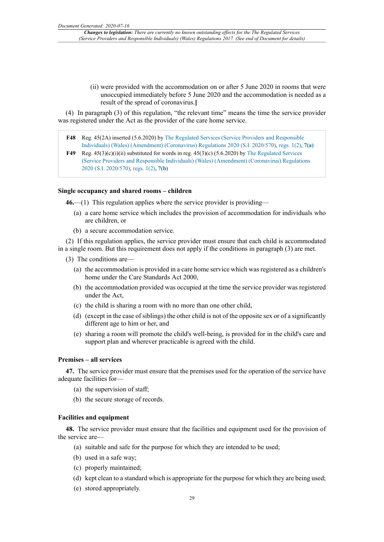(ii) were provided with the accommodation on or after 5 June 2020 in rooms that were unoccupied immediately before 5 June 2020 and the accommodation is needed as a result of the spread of coronavirus.**]**

(4) In paragraph (3) of this regulation, "the relevant time" means the time the service provider was registered under the Act as the provider of the care home service.

- **F48** Reg. 45(2A) inserted (5.6.2020) by The Regulated Services (Service Providers and Responsible Individuals) (Wales) (Amendment) (Coronavirus) Regulations 2020 (S.I. 2020/570), regs. 1(2), **7(a)**
- **F49** Reg.  $45(3)(c)(i)(ii)$  substituted for words in reg.  $45(3)(c)(5.6.2020)$  by The Regulated Services (Service Providers and Responsible Individuals) (Wales) (Amendment) (Coronavirus) Regulations 2020 (S.I. 2020/570), regs. 1(2), **7(b)**

#### **Single occupancy and shared rooms – children**

**46.**—(1) This regulation applies where the service provider is providing—

- (a) a care home service which includes the provision of accommodation for individuals who are children, or
- (b) a secure accommodation service.

(2) If this regulation applies, the service provider must ensure that each child is accommodated in a single room. But this requirement does not apply if the conditions in paragraph (3) are met.

- (3) The conditions are—
	- (a) the accommodation is provided in a care home service which was registered as a children's home under the Care Standards Act 2000,
	- (b) the accommodation provided was occupied at the time the service provider was registered under the Act,
	- (c) the child is sharing a room with no more than one other child,
	- (d) (except in the case of siblings) the other child is not of the opposite sex or of a significantly different age to him or her, and
	- (e) sharing a room will promote the child's well-being, is provided for in the child's care and support plan and wherever practicable is agreed with the child.

### **Premises – all services**

**47.** The service provider must ensure that the premises used for the operation of the service have adequate facilities for—

- (a) the supervision of staff;
- (b) the secure storage of records.

#### **Facilities and equipment**

**48.** The service provider must ensure that the facilities and equipment used for the provision of the service are—

- (a) suitable and safe for the purpose for which they are intended to be used;
- (b) used in a safe way;
- (c) properly maintained;
- (d) kept clean to a standard which is appropriate for the purpose for which they are being used;
- (e) stored appropriately.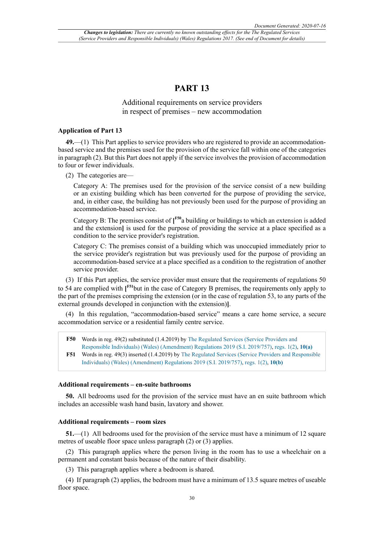# **PART 13**

# Additional requirements on service providers in respect of premises – new accommodation

### **Application of Part 13**

**49.**—(1) This Part applies to service providers who are registered to provide an accommodationbased service and the premises used for the provision of the service fall within one of the categories in paragraph (2). But this Part does not apply if the service involves the provision of accommodation to four or fewer individuals.

(2) The categories are—

Category A: The premises used for the provision of the service consist of a new building or an existing building which has been converted for the purpose of providing the service, and, in either case, the building has not previously been used for the purpose of providing an accommodation-based service.

Category B: The premises consist of **[ F50**a building or buildings to which an extension is added and the extension**]** is used for the purpose of providing the service at a place specified as a condition to the service provider's registration.

Category C: The premises consist of a building which was unoccupied immediately prior to the service provider's registration but was previously used for the purpose of providing an accommodation-based service at a place specified as a condition to the registration of another service provider.

(3) If this Part applies, the service provider must ensure that the requirements of regulations 50 to 54 are complied with **[ F51**but in the case of Category B premises, the requirements only apply to the part of the premises comprising the extension (or in the case of regulation 53, to any parts of the external grounds developed in conjunction with the extension)**]**.

(4) In this regulation, "accommodation-based service" means a care home service, a secure accommodation service or a residential family centre service.

**F50** Words in reg. 49(2) substituted (1.4.2019) by The Regulated Services (Service Providers and Responsible Individuals) (Wales) (Amendment) Regulations 2019 (S.I. 2019/757), regs. 1(2), **10(a)**

**F51** Words in reg. 49(3) inserted (1.4.2019) by The Regulated Services (Service Providers and Responsible Individuals) (Wales) (Amendment) Regulations 2019 (S.I. 2019/757), regs. 1(2), **10(b)**

### **Additional requirements – en-suite bathrooms**

**50.** All bedrooms used for the provision of the service must have an en suite bathroom which includes an accessible wash hand basin, lavatory and shower.

#### **Additional requirements – room sizes**

**51.**—(1) All bedrooms used for the provision of the service must have a minimum of 12 square metres of useable floor space unless paragraph (2) or (3) applies.

(2) This paragraph applies where the person living in the room has to use a wheelchair on a permanent and constant basis because of the nature of their disability.

(3) This paragraph applies where a bedroom is shared.

(4) If paragraph (2) applies, the bedroom must have a minimum of 13.5 square metres of useable floor space.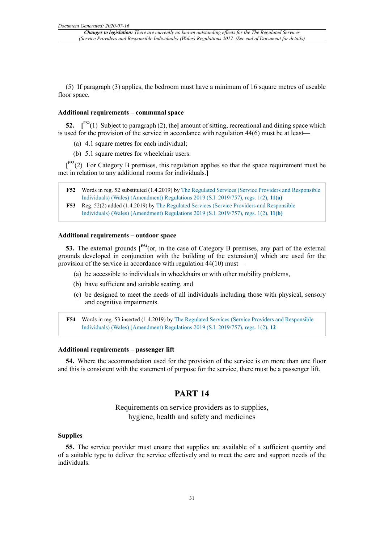(5) If paragraph (3) applies, the bedroom must have a minimum of 16 square metres of useable floor space.

# **Additional requirements – communal space**

**52.**—**[ F52**(1) Subject to paragraph (2), the**]** amount of sitting, recreational and dining space which is used for the provision of the service in accordance with regulation 44(6) must be at least—

- (a) 4.1 square metres for each individual;
- (b) 5.1 square metres for wheelchair users.

**[ F53**(2) For Category B premises, this regulation applies so that the space requirement must be met in relation to any additional rooms for individuals.**]**

- **F52** Words in reg. 52 substituted (1.4.2019) by The Regulated Services (Service Providers and Responsible Individuals) (Wales) (Amendment) Regulations 2019 (S.I. 2019/757), regs. 1(2), **11(a)**
- **F53** Reg. 52(2) added (1.4.2019) by The Regulated Services (Service Providers and Responsible Individuals) (Wales) (Amendment) Regulations 2019 (S.I. 2019/757), regs. 1(2), **11(b)**

#### **Additional requirements – outdoor space**

**53.** The external grounds **[ F54**(or, in the case of Category B premises, any part of the external grounds developed in conjunction with the building of the extension)**]** which are used for the provision of the service in accordance with regulation 44(10) must—

- (a) be accessible to individuals in wheelchairs or with other mobility problems,
- (b) have sufficient and suitable seating, and
- (c) be designed to meet the needs of all individuals including those with physical, sensory and cognitive impairments.

**F54** Words in reg. 53 inserted (1.4.2019) by The Regulated Services (Service Providers and Responsible Individuals) (Wales) (Amendment) Regulations 2019 (S.I. 2019/757), regs. 1(2), **12**

## **Additional requirements – passenger lift**

**54.** Where the accommodation used for the provision of the service is on more than one floor and this is consistent with the statement of purpose for the service, there must be a passenger lift.

# **PART 14**

Requirements on service providers as to supplies, hygiene, health and safety and medicines

#### **Supplies**

**55.** The service provider must ensure that supplies are available of a sufficient quantity and of a suitable type to deliver the service effectively and to meet the care and support needs of the individuals.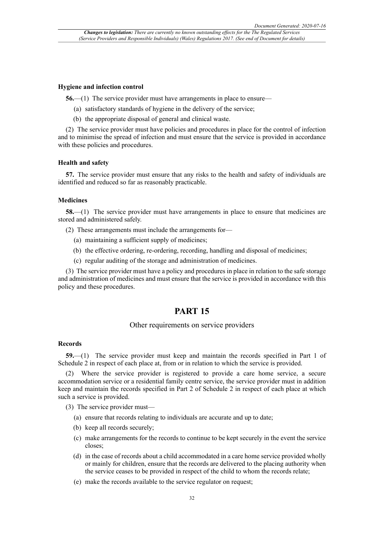#### **Hygiene and infection control**

**56.**—(1) The service provider must have arrangements in place to ensure—

- (a) satisfactory standards of hygiene in the delivery of the service;
- (b) the appropriate disposal of general and clinical waste.

(2) The service provider must have policies and procedures in place for the control of infection and to minimise the spread of infection and must ensure that the service is provided in accordance with these policies and procedures.

### **Health and safety**

**57.** The service provider must ensure that any risks to the health and safety of individuals are identified and reduced so far as reasonably practicable.

#### **Medicines**

**58.**—(1) The service provider must have arrangements in place to ensure that medicines are stored and administered safely.

(2) These arrangements must include the arrangements for—

- (a) maintaining a sufficient supply of medicines;
- (b) the effective ordering, re-ordering, recording, handling and disposal of medicines;
- (c) regular auditing of the storage and administration of medicines.

(3) The service provider must have a policy and procedures in place in relation to the safe storage and administration of medicines and must ensure that the service is provided in accordance with this policy and these procedures.

# **PART 15**

#### Other requirements on service providers

### **Records**

**59.**—(1) The service provider must keep and maintain the records specified in Part 1 of Schedule 2 in respect of each place at, from or in relation to which the service is provided.

Where the service provider is registered to provide a care home service, a secure accommodation service or a residential family centre service, the service provider must in addition keep and maintain the records specified in Part 2 of Schedule 2 in respect of each place at which such a service is provided.

(3) The service provider must—

- (a) ensure that records relating to individuals are accurate and up to date;
- (b) keep all records securely;
- (c) make arrangements for the records to continue to be kept securely in the event the service closes;
- (d) in the case of records about a child accommodated in a care home service provided wholly or mainly for children, ensure that the records are delivered to the placing authority when the service ceases to be provided in respect of the child to whom the records relate;
- (e) make the records available to the service regulator on request;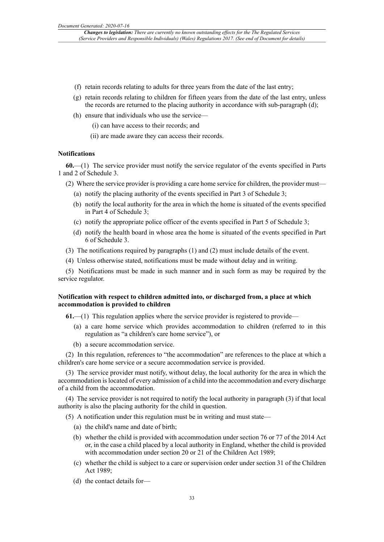- (f) retain records relating to adults for three years from the date of the last entry;
- (g) retain records relating to children for fifteen years from the date of the last entry, unless the records are returned to the placing authority in accordance with sub-paragraph (d);
- (h) ensure that individuals who use the service—
	- (i) can have access to their records; and
	- (ii) are made aware they can access their records.

### **Notifications**

**60.**—(1) The service provider must notify the service regulator of the events specified in Parts 1 and 2 of Schedule 3.

- (2) Where the service provider is providing a care home service for children, the provider must—
	- (a) notify the placing authority of the events specified in Part 3 of Schedule 3;
	- (b) notify the local authority for the area in which the home is situated of the events specified in Part 4 of Schedule 3;
	- (c) notify the appropriate police officer of the events specified in Part 5 of Schedule 3;
	- (d) notify the health board in whose area the home is situated of the events specified in Part 6 of Schedule 3.
- (3) The notifications required by paragraphs (1) and (2) must include details of the event.
- (4) Unless otherwise stated, notifications must be made without delay and in writing.

(5) Notifications must be made in such manner and in such form as may be required by the service regulator.

### **Notification with respect to children admitted into, or discharged from, a place at which accommodation is provided to children**

**61.**—(1) This regulation applies where the service provider is registered to provide—

- (a) a care home service which provides accommodation to children (referred to in this regulation as "a children's care home service"), or
- (b) a secure accommodation service.

(2) In this regulation, references to "the accommodation" are references to the place at which a children's care home service or a secure accommodation service is provided.

(3) The service provider must notify, without delay, the local authority for the area in which the accommodation islocated of every admission of a child into the accommodation and every discharge of a child from the accommodation.

(4) The service provider is not required to notify the local authority in paragraph (3) if that local authority is also the placing authority for the child in question.

- (5) A notification under this regulation must be in writing and must state—
	- (a) the child's name and date of birth;
	- (b) whether the child is provided with accommodation under section 76 or 77 of the 2014 Act or, in the case a child placed by a local authority in England, whether the child is provided with accommodation under section 20 or 21 of the Children Act 1989;
	- (c) whether the child is subject to a care or supervision order under section 31 of the Children Act 1989;
	- (d) the contact details for—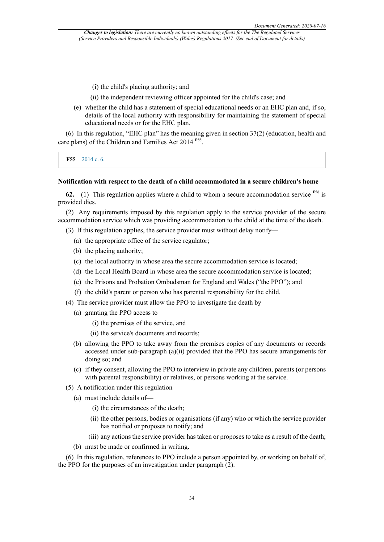- (i) the child's placing authority; and
- (ii) the independent reviewing officer appointed for the child's case; and
- (e) whether the child has a statement of special educational needs or an EHC plan and, if so, details of the local authority with responsibility for maintaining the statement of special educational needs or for the EHC plan.

(6) In this regulation, "EHC plan" has the meaning given in section 37(2) (education, health and care plans) of the Children and Families Act 2014 **F55** .

**F55** 2014 c. 6.

### **Notification with respect to the death of a child accommodated in a secure children's home**

**62.**—(1) This regulation applies where a child to whom a secure accommodation service **F56** is provided dies.

(2) Any requirements imposed by this regulation apply to the service provider of the secure accommodation service which was providing accommodation to the child at the time of the death.

(3) If this regulation applies, the service provider must without delay notify—

- (a) the appropriate office of the service regulator;
- (b) the placing authority;
- (c) the local authority in whose area the secure accommodation service is located;
- (d) the Local Health Board in whose area the secure accommodation service is located;
- (e) the Prisons and Probation Ombudsman for England and Wales ("the PPO"); and
- (f) the child's parent or person who has parental responsibility for the child.
- (4) The service provider must allow the PPO to investigate the death by—
	- (a) granting the PPO access to—
		- (i) the premises of the service, and
		- (ii) the service's documents and records;
	- (b) allowing the PPO to take away from the premises copies of any documents or records accessed under sub-paragraph (a)(ii) provided that the PPO has secure arrangements for doing so; and
	- (c) if they consent, allowing the PPO to interview in private any children, parents (or persons with parental responsibility) or relatives, or persons working at the service.
- (5) A notification under this regulation—
	- (a) must include details of—
		- (i) the circumstances of the death;
		- (ii) the other persons, bodies or organisations (if any) who or which the service provider has notified or proposes to notify; and
		- (iii) any actions the service provider has taken or proposes to take as a result of the death;
	- (b) must be made or confirmed in writing.

(6) In this regulation, references to PPO include a person appointed by, or working on behalf of, the PPO for the purposes of an investigation under paragraph (2).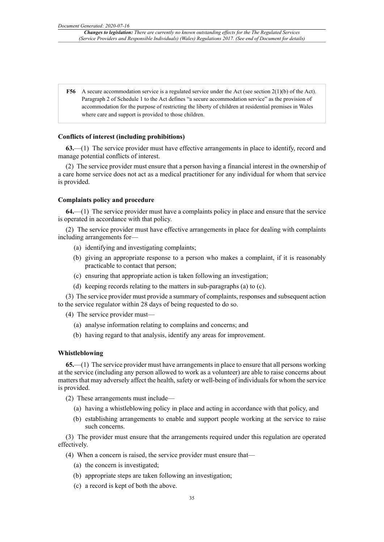**F56** A secure accommodation service is a regulated service under the Act (see section 2(1)(b) of the Act). Paragraph 2 of Schedule 1 to the Act defines "a secure accommodation service" as the provision of accommodation for the purpose of restricting the liberty of children at residential premises in Wales where care and support is provided to those children.

#### **Conflicts of interest (including prohibitions)**

**63.**—(1) The service provider must have effective arrangements in place to identify, record and manage potential conflicts of interest.

(2) The service provider must ensure that a person having a financial interest in the ownership of a care home service does not act as a medical practitioner for any individual for whom that service is provided.

### **Complaints policy and procedure**

**64.**—(1) The service provider must have a complaints policy in place and ensure that the service is operated in accordance with that policy.

(2) The service provider must have effective arrangements in place for dealing with complaints including arrangements for—

- (a) identifying and investigating complaints;
- (b) giving an appropriate response to a person who makes a complaint, if it is reasonably practicable to contact that person;
- (c) ensuring that appropriate action is taken following an investigation;
- (d) keeping records relating to the matters in sub-paragraphs (a) to (c).

(3) The service provider must provide a summary of complaints, responses and subsequent action to the service regulator within 28 days of being requested to do so.

(4) The service provider must—

- (a) analyse information relating to complains and concerns; and
- (b) having regard to that analysis, identify any areas for improvement.

### **Whistleblowing**

**65.**—(1) The service provider must have arrangements in place to ensure that all persons working at the service (including any person allowed to work as a volunteer) are able to raise concerns about matters that may adversely affect the health, safety or well-being of individuals for whom the service is provided.

- (2) These arrangements must include—
	- (a) having a whistleblowing policy in place and acting in accordance with that policy, and
	- (b) establishing arrangements to enable and support people working at the service to raise such concerns.

(3) The provider must ensure that the arrangements required under this regulation are operated effectively.

- (4) When a concern is raised, the service provider must ensure that—
	- (a) the concern is investigated;
	- (b) appropriate steps are taken following an investigation;
	- (c) a record is kept of both the above.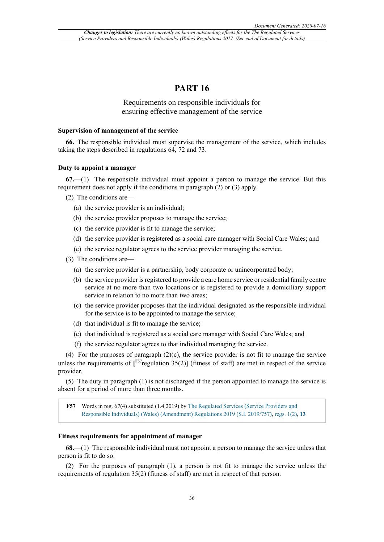# **PART 16**

# Requirements on responsible individuals for ensuring effective management of the service

## **Supervision of management of the service**

**66.** The responsible individual must supervise the management of the service, which includes taking the steps described in regulations 64, 72 and 73.

#### **Duty to appoint a manager**

**67.**—(1) The responsible individual must appoint a person to manage the service. But this requirement does not apply if the conditions in paragraph (2) or (3) apply.

- (2) The conditions are—
	- (a) the service provider is an individual;
	- (b) the service provider proposes to manage the service;
	- (c) the service provider is fit to manage the service;
	- (d) the service provider is registered as a social care manager with Social Care Wales; and
	- (e) the service regulator agrees to the service provider managing the service.
- (3) The conditions are—
	- (a) the service provider is a partnership, body corporate or unincorporated body;
	- (b) the service provider is registered to provide a care home service or residential family centre service at no more than two locations or is registered to provide a domiciliary support service in relation to no more than two areas;
	- (c) the service provider proposes that the individual designated as the responsible individual for the service is to be appointed to manage the service;
	- (d) that individual is fit to manage the service;
	- (e) that individual is registered as a social care manager with Social Care Wales; and
	- (f) the service regulator agrees to that individual managing the service.

(4) For the purposes of paragraph  $(2)(c)$ , the service provider is not fit to manage the service unless the requirements of  $[$ <sup> $F57$ </sup>regulation 35(2)**]** (fitness of staff) are met in respect of the service provider.

(5) The duty in paragraph (1) is not discharged if the person appointed to manage the service is absent for a period of more than three months.

**F57** Words in reg. 67(4) substituted (1.4.2019) by The Regulated Services (Service Providers and Responsible Individuals) (Wales) (Amendment) Regulations 2019 (S.I. 2019/757), regs. 1(2), **13**

### **Fitness requirements for appointment of manager**

**68.**—(1) The responsible individual must not appoint a person to manage the service unless that person is fit to do so.

(2) For the purposes of paragraph (1), a person is not fit to manage the service unless the requirements of regulation 35(2) (fitness of staff) are met in respect of that person.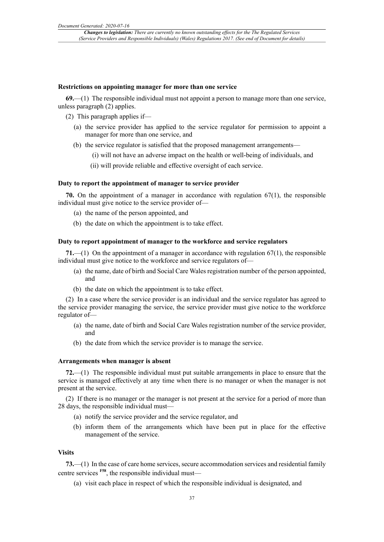#### **Restrictions on appointing manager for more than one service**

**69.**—(1) The responsible individual must not appoint a person to manage more than one service, unless paragraph (2) applies.

- (2) This paragraph applies if—
	- (a) the service provider has applied to the service regulator for permission to appoint a manager for more than one service, and
	- (b) the service regulator is satisfied that the proposed management arrangements—
		- (i) will not have an adverse impact on the health or well-being of individuals, and
		- (ii) will provide reliable and effective oversight of each service.

#### **Duty to report the appointment of manager to service provider**

**70.** On the appointment of a manager in accordance with regulation 67(1), the responsible individual must give notice to the service provider of—

- (a) the name of the person appointed, and
- (b) the date on which the appointment is to take effect.

#### **Duty to report appointment of manager to the workforce and service regulators**

**71.**—(1) On the appointment of a manager in accordance with regulation 67(1), the responsible individual must give notice to the workforce and service regulators of—

- (a) the name, date of birth and Social Care Wales registration number of the person appointed, and
- (b) the date on which the appointment is to take effect.

(2) In a case where the service provider is an individual and the service regulator has agreed to the service provider managing the service, the service provider must give notice to the workforce regulator of—

- (a) the name, date of birth and Social Care Wales registration number of the service provider, and
- (b) the date from which the service provider is to manage the service.

#### **Arrangements when manager is absent**

**72.**—(1) The responsible individual must put suitable arrangements in place to ensure that the service is managed effectively at any time when there is no manager or when the manager is not present at the service.

(2) If there is no manager or the manager is not present at the service for a period of more than 28 days, the responsible individual must—

- (a) notify the service provider and the service regulator, and
- (b) inform them of the arrangements which have been put in place for the effective management of the service.

### **Visits**

**73.**—(1) In the case of care home services, secure accommodation services and residential family centre services **F58**, the responsible individual must—

(a) visit each place in respect of which the responsible individual is designated, and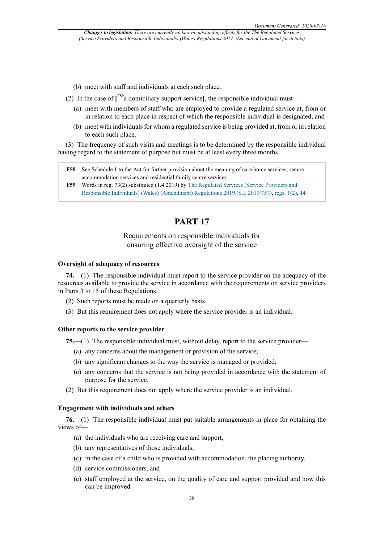- (b) meet with staff and individuals at each such place.
- (2) In the case of **[ F59**a domiciliary support service**]**, the responsible individual must—
	- (a) meet with members of staff who are employed to provide a regulated service at, from or in relation to each place in respect of which the responsible individual is designated, and
	- (b) meet with individuals for whom a regulated service is being provided at, from or in relation to each such place.

(3) The frequency of such visits and meetings is to be determined by the responsible individual having regard to the statement of purpose but must be at least every three months.

- **F58** See Schedule 1 to the Act for further provision about the meaning of care home services, secure accommodation services and residential family centre services.
- **F59** Words in reg. 73(2) substituted (1.4.2019) by The Regulated Services (Service Providers and Responsible Individuals) (Wales) (Amendment) Regulations 2019 (S.I. 2019/757), regs. 1(2), **14**

# **PART 17**

# Requirements on responsible individuals for ensuring effective oversight of the service

### **Oversight of adequacy of resources**

**74.**—(1) The responsible individual must report to the service provider on the adequacy of the resources available to provide the service in accordance with the requirements on service providers in Parts 3 to 15 of these Regulations.

- (2) Such reports must be made on a quarterly basis.
- (3) But this requirement does not apply where the service provider is an individual.

### **Other reports to the service provider**

**75.**—(1) The responsible individual must, without delay, report to the service provider—

- (a) any concerns about the management or provision of the service;
- (b) any significant changes to the way the service is managed or provided;
- (c) any concerns that the service is not being provided in accordance with the statement of purpose for the service.
- (2) But this requirement does not apply where the service provider is an individual.

#### **Engagement with individuals and others**

**76.**—(1) The responsible individual must put suitable arrangements in place for obtaining the views of—

- (a) the individuals who are receiving care and support,
- (b) any representatives of those individuals,
- (c) in the case of a child who is provided with accommodation, the placing authority,
- (d) service commissioners, and
- (e) staff employed at the service, on the quality of care and support provided and how this can be improved.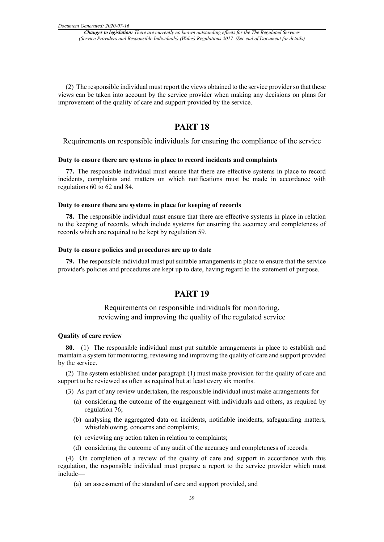(2) The responsible individual must report the views obtained to the service provider so that these views can be taken into account by the service provider when making any decisions on plans for improvement of the quality of care and support provided by the service.

# **PART 18**

Requirements on responsible individuals for ensuring the compliance of the service

### **Duty to ensure there are systems in place to record incidents and complaints**

**77.** The responsible individual must ensure that there are effective systems in place to record incidents, complaints and matters on which notifications must be made in accordance with regulations 60 to 62 and 84.

### **Duty to ensure there are systems in place for keeping of records**

**78.** The responsible individual must ensure that there are effective systems in place in relation to the keeping of records, which include systems for ensuring the accuracy and completeness of records which are required to be kept by regulation 59.

### **Duty to ensure policies and procedures are up to date**

**79.** The responsible individual must put suitable arrangements in place to ensure that the service provider's policies and procedures are kept up to date, having regard to the statement of purpose.

# **PART 19**

Requirements on responsible individuals for monitoring, reviewing and improving the quality of the regulated service

#### **Quality of care review**

**80.**—(1) The responsible individual must put suitable arrangements in place to establish and maintain a system for monitoring, reviewing and improving the quality of care and support provided by the service.

(2) The system established under paragraph (1) must make provision for the quality of care and support to be reviewed as often as required but at least every six months.

(3) As part of any review undertaken, the responsible individual must make arrangements for—

- (a) considering the outcome of the engagement with individuals and others, as required by regulation 76;
- (b) analysing the aggregated data on incidents, notifiable incidents, safeguarding matters, whistleblowing, concerns and complaints;
- (c) reviewing any action taken in relation to complaints;
- (d) considering the outcome of any audit of the accuracy and completeness of records.

(4) On completion of a review of the quality of care and support in accordance with this regulation, the responsible individual must prepare a report to the service provider which must include—

(a) an assessment of the standard of care and support provided, and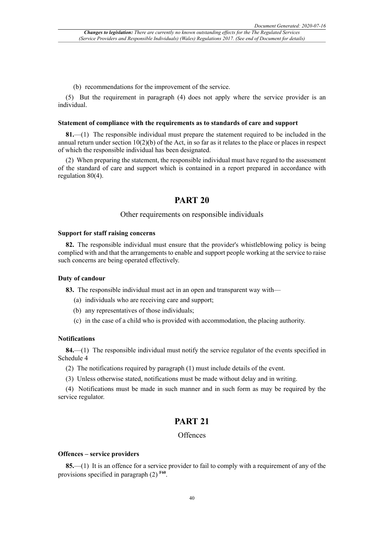(b) recommendations for the improvement of the service.

(5) But the requirement in paragraph (4) does not apply where the service provider is an individual.

#### **Statement of compliance with the requirements as to standards of care and support**

**81.**—(1) The responsible individual must prepare the statement required to be included in the annual return under section  $10(2)(b)$  of the Act, in so far as it relates to the place or places in respect of which the responsible individual has been designated.

(2) When preparing the statement, the responsible individual must have regard to the assessment of the standard of care and support which is contained in a report prepared in accordance with regulation 80(4).

# **PART 20**

### Other requirements on responsible individuals

#### **Support for staff raising concerns**

**82.** The responsible individual must ensure that the provider's whistleblowing policy is being complied with and that the arrangements to enable and support people working at the service to raise such concerns are being operated effectively.

### **Duty of candour**

**83.** The responsible individual must act in an open and transparent way with—

- (a) individuals who are receiving care and support;
- (b) any representatives of those individuals;
- (c) in the case of a child who is provided with accommodation, the placing authority.

### **Notifications**

**84.**—(1) The responsible individual must notify the service regulator of the events specified in Schedule 4

- (2) The notifications required by paragraph (1) must include details of the event.
- (3) Unless otherwise stated, notifications must be made without delay and in writing.

(4) Notifications must be made in such manner and in such form as may be required by the service regulator.

# **PART 21**

### **Offences**

# **Offences – service providers**

**85.**—(1) It is an offence for a service provider to fail to comply with a requirement of any of the provisions specified in paragraph (2) **F60** .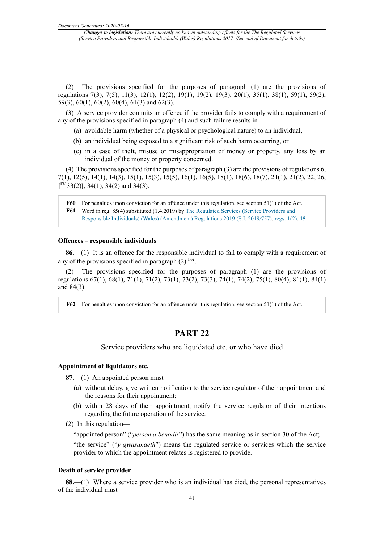(2) The provisions specified for the purposes of paragraph (1) are the provisions of regulations 7(3), 7(5), 11(3), 12(1), 12(2), 19(1), 19(2), 19(3), 20(1), 35(1), 38(1), 59(1), 59(2), 59(3), 60(1), 60(2), 60(4), 61(3) and 62(3).

(3) A service provider commits an offence if the provider fails to comply with a requirement of any of the provisions specified in paragraph (4) and such failure results in—

- (a) avoidable harm (whether of a physical or psychological nature) to an individual,
- (b) an individual being exposed to a significant risk of such harm occurring, or
- (c) in a case of theft, misuse or misappropriation of money or property, any loss by an individual of the money or property concerned.

(4) The provisions specified for the purposes of paragraph (3) are the provisions of regulations 6, 7(1), 12(5), 14(1), 14(3), 15(1), 15(3), 15(5), 16(1), 16(5), 18(1), 18(6), 18(7), 21(1), 21(2), 22, 26, **[ F61**33(2)**]**, 34(1), 34(2) and 34(3).

**F60** For penalties upon conviction for an offence under this regulation, see section 51(1) of the Act. **F61** Word in reg. 85(4) substituted (1.4.2019) by The Regulated Services (Service Providers and Responsible Individuals) (Wales) (Amendment) Regulations 2019 (S.I. 2019/757), regs. 1(2), **15**

### **Offences – responsible individuals**

**86.**—(1) It is an offence for the responsible individual to fail to comply with a requirement of any of the provisions specified in paragraph  $(2)$ <sup>F62</sup>.

The provisions specified for the purposes of paragraph (1) are the provisions of regulations 67(1), 68(1), 71(1), 71(2), 73(1), 73(2), 73(3), 74(1), 74(2), 75(1), 80(4), 81(1), 84(1) and 84(3).

**F62** For penalties upon conviction for an offence under this regulation, see section 51(1) of the Act.

# **PART 22**

Service providers who are liquidated etc. or who have died

### **Appointment of liquidators etc.**

**87.**—(1) An appointed person must—

- (a) without delay, give written notification to the service regulator of their appointment and the reasons for their appointment;
- (b) within 28 days of their appointment, notify the service regulator of their intentions regarding the future operation of the service.
- (2) In this regulation—

"appointed person" ("*person a benodir*") has the same meaning as in section 30 of the Act;

"the service" ("*y gwasanaeth*") means the regulated service or services which the service provider to which the appointment relates is registered to provide.

## **Death of service provider**

**88.**—(1) Where a service provider who is an individual has died, the personal representatives of the individual must—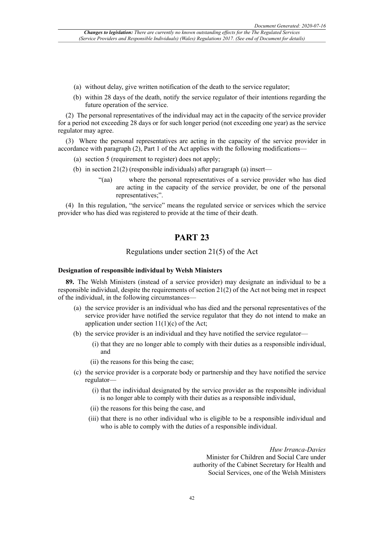- (a) without delay, give written notification of the death to the service regulator;
- (b) within 28 days of the death, notify the service regulator of their intentions regarding the future operation of the service.

(2) The personal representatives of the individual may act in the capacity of the service provider for a period not exceeding 28 days or for such longer period (not exceeding one year) as the service regulator may agree.

(3) Where the personal representatives are acting in the capacity of the service provider in accordance with paragraph (2), Part 1 of the Act applies with the following modifications—

- (a) section 5 (requirement to register) does not apply;
- (b) in section 21(2) (responsible individuals) after paragraph (a) insert—
	- "(aa) where the personal representatives of a service provider who has died are acting in the capacity of the service provider, be one of the personal representatives;".

(4) In this regulation, "the service" means the regulated service or services which the service provider who has died was registered to provide at the time of their death.

# **PART 23**

# Regulations under section 21(5) of the Act

### **Designation of responsible individual by Welsh Ministers**

**89.** The Welsh Ministers (instead of a service provider) may designate an individual to be a responsible individual, despite the requirements of section 21(2) of the Act not being met in respect of the individual, in the following circumstances—

- (a) the service provider is an individual who has died and the personal representatives of the service provider have notified the service regulator that they do not intend to make an application under section  $11(1)(c)$  of the Act;
- (b) the service provider is an individual and they have notified the service regulator—
	- (i) that they are no longer able to comply with their duties as a responsible individual, and
	- (ii) the reasons for this being the case;
- (c) the service provider is a corporate body or partnership and they have notified the service regulator—
	- (i) that the individual designated by the service provider as the responsible individual is no longer able to comply with their duties as a responsible individual,
	- (ii) the reasons for this being the case, and
	- (iii) that there is no other individual who is eligible to be a responsible individual and who is able to comply with the duties of a responsible individual.

*Huw Irranca-Davies* Minister for Children and Social Care under authority of the Cabinet Secretary for Health and Social Services, one of the Welsh Ministers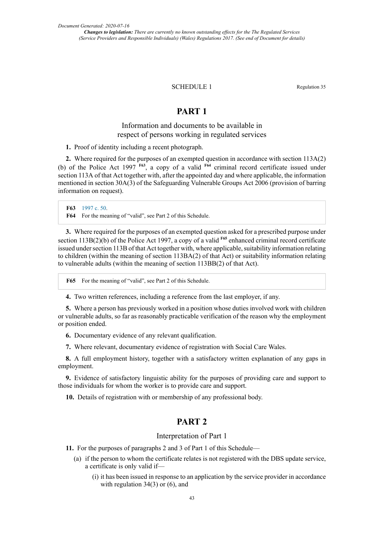### SCHEDULE 1 Regulation 35

# **PART 1**

# Information and documents to be available in respect of persons working in regulated services

**1.** Proof of identity including a recent photograph.

**2.** Where required for the purposes of an exempted question in accordance with section 113A(2) (b) of the Police Act 1997 **F63**, a copy of a valid **F64** criminal record certificate issued under section 113A of that Act together with, after the appointed day and where applicable, the information mentioned in section 30A(3) of the Safeguarding Vulnerable Groups Act 2006 (provision of barring information on request).

**F63** 1997 c. 50. **F64** For the meaning of "valid", see Part 2 of this Schedule.

**3.** Where required for the purposes of an exempted question asked for a prescribed purpose under section 113B(2)(b) of the Police Act 1997, a copy of a valid <sup>F65</sup> enhanced criminal record certificate issued under section 113B of that Act together with, where applicable, suitability information relating to children (within the meaning of section 113BA(2) of that Act) or suitability information relating to vulnerable adults (within the meaning of section 113BB(2) of that Act).

**F65** For the meaning of "valid", see Part 2 of this Schedule.

**4.** Two written references, including a reference from the last employer, if any.

**5.** Where a person has previously worked in a position whose duties involved work with children or vulnerable adults, so far as reasonably practicable verification of the reason why the employment or position ended.

**6.** Documentary evidence of any relevant qualification.

**7.** Where relevant, documentary evidence of registration with Social Care Wales.

**8.** A full employment history, together with a satisfactory written explanation of any gaps in employment.

**9.** Evidence of satisfactory linguistic ability for the purposes of providing care and support to those individuals for whom the worker is to provide care and support.

**10.** Details of registration with or membership of any professional body.

# **PART 2**

# Interpretation of Part 1

- **11.** For the purposes of paragraphs 2 and 3 of Part 1 of this Schedule—
	- (a) if the person to whom the certificate relates is not registered with the DBS update service, a certificate is only valid if—
		- (i) it has been issued in response to an application by the service provider in accordance with regulation 34(3) or (6), and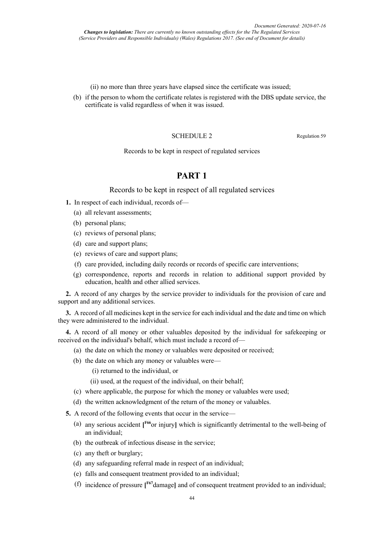(ii) no more than three years have elapsed since the certificate was issued;

(b) if the person to whom the certificate relates is registered with the DBS update service, the certificate is valid regardless of when it was issued.

### SCHEDULE 2 Regulation 59

Records to be kept in respect of regulated services

# **PART 1**

Records to be kept in respect of all regulated services

- **1.** In respect of each individual, records of—
	- (a) all relevant assessments;
	- (b) personal plans:
	- (c) reviews of personal plans;
	- (d) care and support plans;
	- (e) reviews of care and support plans;
	- (f) care provided, including daily records or records of specific care interventions;
	- (g) correspondence, reports and records in relation to additional support provided by education, health and other allied services.

**2.** A record of any charges by the service provider to individuals for the provision of care and support and any additional services.

**3.** A record of all medicines kept in the service for each individual and the date and time on which they were administered to the individual.

**4.** A record of all money or other valuables deposited by the individual for safekeeping or received on the individual's behalf, which must include a record of—

- (a) the date on which the money or valuables were deposited or received;
- (b) the date on which any money or valuables were—
	- (i) returned to the individual, or
	- (ii) used, at the request of the individual, on their behalf;
- (c) where applicable, the purpose for which the money or valuables were used;
- (d) the written acknowledgment of the return of the money or valuables.

**5.** A record of the following events that occur in the service—

- (a) any serious accident **[ F66**or injury**]** which is significantly detrimental to the well-being of an individual;
- (b) the outbreak of infectious disease in the service;
- (c) any theft or burglary;
- (d) any safeguarding referral made in respect of an individual;
- (e) falls and consequent treatment provided to an individual;
- (f) incidence of pressure **[ F67**damage**]** and of consequent treatment provided to an individual;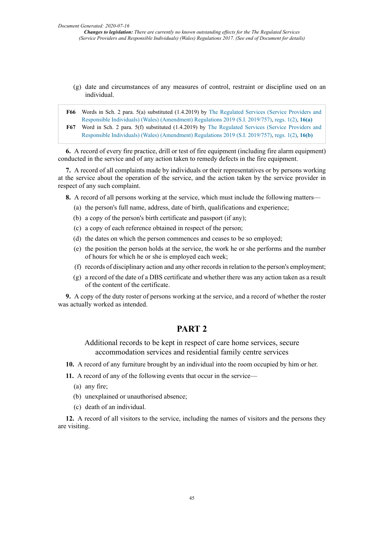- (g) date and circumstances of any measures of control, restraint or discipline used on an individual.
- **F66** Words in Sch. 2 para. 5(a) substituted (1.4.2019) by The Regulated Services (Service Providers and Responsible Individuals) (Wales) (Amendment) Regulations 2019 (S.I. 2019/757), regs. 1(2), **16(a) F67** Word in Sch. 2 para. 5(f) substituted (1.4.2019) by The Regulated Services (Service Providers and Responsible Individuals) (Wales) (Amendment) Regulations 2019 (S.I. 2019/757), regs. 1(2), **16(b)**

**6.** A record of every fire practice, drill or test of fire equipment (including fire alarm equipment) conducted in the service and of any action taken to remedy defects in the fire equipment.

**7.** A record of all complaints made by individuals or their representatives or by persons working at the service about the operation of the service, and the action taken by the service provider in respect of any such complaint.

**8.** A record of all persons working at the service, which must include the following matters—

- (a) the person's full name, address, date of birth, qualifications and experience;
- (b) a copy of the person's birth certificate and passport (if any);
- (c) a copy of each reference obtained in respect of the person;
- (d) the dates on which the person commences and ceases to be so employed;
- (e) the position the person holds at the service, the work he or she performs and the number of hours for which he or she is employed each week;
- (f) records of disciplinary action and any other records in relation to the person's employment;
- (g) a record of the date of a DBS certificate and whether there was any action taken as a result of the content of the certificate.

**9.** A copy of the duty roster of persons working at the service, and a record of whether the roster was actually worked as intended.

# **PART 2**

Additional records to be kept in respect of care home services, secure accommodation services and residential family centre services

- **10.** A record of any furniture brought by an individual into the room occupied by him or her.
- **11.** A record of any of the following events that occur in the service—
	- (a) any fire;
	- (b) unexplained or unauthorised absence;
	- (c) death of an individual.

**12.** A record of all visitors to the service, including the names of visitors and the persons they are visiting.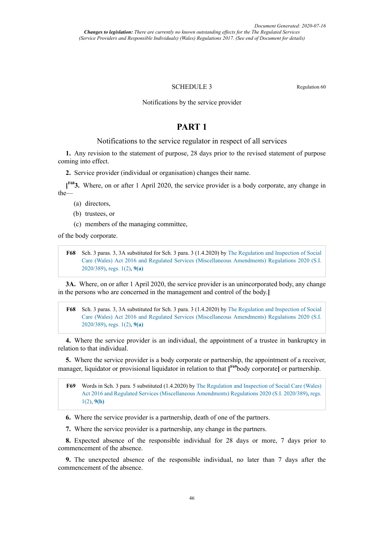### SCHEDULE 3 Regulation 60

### Notifications by the service provider

# **PART 1**

# Notifications to the service regulator in respect of all services

**1.** Any revision to the statement of purpose, 28 days prior to the revised statement of purpose coming into effect.

**2.** Service provider (individual or organisation) changes their name.

**[ F683.** Where, on or after 1 April 2020, the service provider is a body corporate, any change in the—

- (a) directors,
- (b) trustees, or
- (c) members of the managing committee,

of the body corporate.

**F68** Sch. 3 paras. 3, 3A substituted for Sch. 3 para. 3 (1.4.2020) by The Regulation and Inspection of Social Care (Wales) Act 2016 and Regulated Services (Miscellaneous Amendments) Regulations 2020 (S.I. 2020/389), regs. 1(2), **9(a)**

**3A.** Where, on or after 1 April 2020, the service provider is an unincorporated body, any change in the persons who are concerned in the management and control of the body.**]**

**F68** Sch. 3 paras. 3, 3A substituted for Sch. 3 para. 3 (1.4.2020) by The Regulation and Inspection of Social Care (Wales) Act 2016 and Regulated Services (Miscellaneous Amendments) Regulations 2020 (S.I. 2020/389), regs. 1(2), **9(a)**

**4.** Where the service provider is an individual, the appointment of a trustee in bankruptcy in relation to that individual.

**5.** Where the service provider is a body corporate or partnership, the appointment of a receiver, manager, liquidator or provisional liquidator in relation to that **[ F69**body corporate**]** or partnership.

**F69** Words in Sch. 3 para. 5 substituted (1.4.2020) by The Regulation and Inspection of Social Care (Wales) Act 2016 and Regulated Services (Miscellaneous Amendments) Regulations 2020 (S.I. 2020/389), regs. 1(2), **9(b)**

**6.** Where the service provider is a partnership, death of one of the partners.

**7.** Where the service provider is a partnership, any change in the partners.

**8.** Expected absence of the responsible individual for 28 days or more, 7 days prior to commencement of the absence.

**9.** The unexpected absence of the responsible individual, no later than 7 days after the commencement of the absence.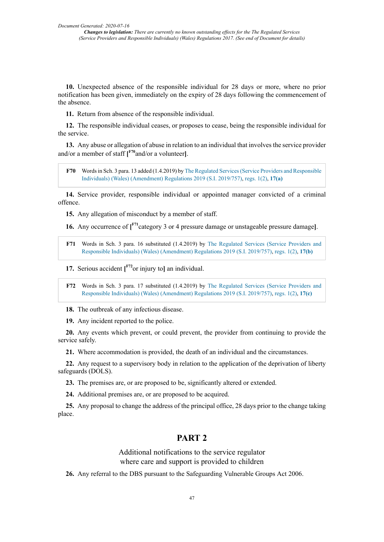**10.** Unexpected absence of the responsible individual for 28 days or more, where no prior notification has been given, immediately on the expiry of 28 days following the commencement of the absence.

**11.** Return from absence of the responsible individual.

**12.** The responsible individual ceases, or proposes to cease, being the responsible individual for the service.

**13.** Any abuse or allegation of abuse in relation to an individual that involves the service provider and/or a member of staff **[ F70**and/or a volunteer**]**.

**F70** Wordsin Sch. 3 para. 13 added (1.4.2019) by The Regulated Services (Service Providers and Responsible Individuals) (Wales) (Amendment) Regulations 2019 (S.I. 2019/757), regs. 1(2), **17(a)**

**14.** Service provider, responsible individual or appointed manager convicted of a criminal offence.

**15.** Any allegation of misconduct by a member of staff.

**16.** Any occurrence of **[ F71**category 3 or 4 pressure damage or unstageable pressure damage**]**.

**F71** Words in Sch. 3 para. 16 substituted (1.4.2019) by The Regulated Services (Service Providers and Responsible Individuals) (Wales) (Amendment) Regulations 2019 (S.I. 2019/757), regs. 1(2), **17(b)**

**17.** Serious accident **[ F72**or injury to**]** an individual.

**F72** Words in Sch. 3 para. 17 substituted (1.4.2019) by The Regulated Services (Service Providers and Responsible Individuals) (Wales) (Amendment) Regulations 2019 (S.I. 2019/757), regs. 1(2), **17(c)**

**18.** The outbreak of any infectious disease.

**19.** Any incident reported to the police.

**20.** Any events which prevent, or could prevent, the provider from continuing to provide the service safely.

**21.** Where accommodation is provided, the death of an individual and the circumstances.

**22.** Any request to a supervisory body in relation to the application of the deprivation of liberty safeguards (DOLS).

**23.** The premises are, or are proposed to be, significantly altered or extended.

**24.** Additional premises are, or are proposed to be acquired.

**25.** Any proposal to change the address of the principal office, 28 days prior to the change taking place.

# **PART 2**

Additional notifications to the service regulator where care and support is provided to children

**26.** Any referral to the DBS pursuant to the Safeguarding Vulnerable Groups Act 2006.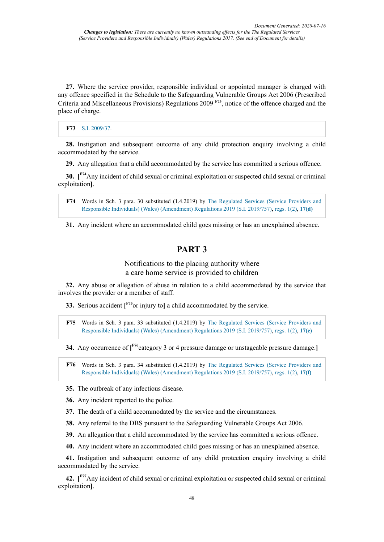**27.** Where the service provider, responsible individual or appointed manager is charged with any offence specified in the Schedule to the Safeguarding Vulnerable Groups Act 2006 (Prescribed Criteria and Miscellaneous Provisions) Regulations 2009 **F73** , notice of the offence charged and the place of charge.

### **F73** S.I. 2009/37.

**28.** Instigation and subsequent outcome of any child protection enquiry involving a child accommodated by the service.

**29.** Any allegation that a child accommodated by the service has committed a serious offence.

**30. [ F74**Any incident of child sexual or criminal exploitation or suspected child sexual or criminal exploitation**]**.

**F74** Words in Sch. 3 para. 30 substituted (1.4.2019) by The Regulated Services (Service Providers and Responsible Individuals) (Wales) (Amendment) Regulations 2019 (S.I. 2019/757), regs. 1(2), **17(d)**

**31.** Any incident where an accommodated child goes missing or has an unexplained absence.

# **PART 3**

# Notifications to the placing authority where a care home service is provided to children

**32.** Any abuse or allegation of abuse in relation to a child accommodated by the service that involves the provider or a member of staff.

**33.** Serious accident **[ F75**or injury to**]** a child accommodated by the service.

**F75** Words in Sch. 3 para. 33 substituted (1.4.2019) by The Regulated Services (Service Providers and Responsible Individuals) (Wales) (Amendment) Regulations 2019 (S.I. 2019/757), regs. 1(2), **17(e)**

**34.** Any occurrence of **[ F76**category 3 or 4 pressure damage or unstageable pressure damage.**]**

**F76** Words in Sch. 3 para. 34 substituted (1.4.2019) by The Regulated Services (Service Providers and Responsible Individuals) (Wales) (Amendment) Regulations 2019 (S.I. 2019/757), regs. 1(2), **17(f)**

**35.** The outbreak of any infectious disease.

**36.** Any incident reported to the police.

**37.** The death of a child accommodated by the service and the circumstances.

**38.** Any referral to the DBS pursuant to the Safeguarding Vulnerable Groups Act 2006.

**39.** An allegation that a child accommodated by the service has committed a serious offence.

**40.** Any incident where an accommodated child goes missing or has an unexplained absence.

**41.** Instigation and subsequent outcome of any child protection enquiry involving a child accommodated by the service.

**42. [ F77**Any incident of child sexual or criminal exploitation or suspected child sexual or criminal exploitation**]**.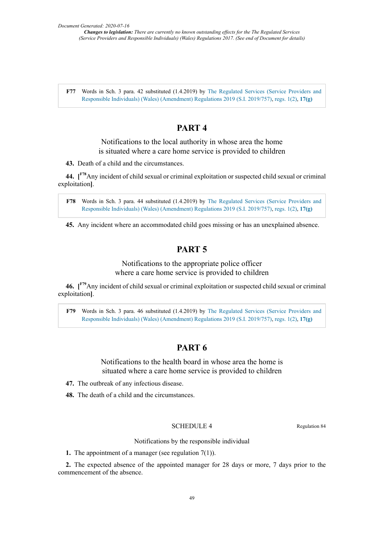**F77** Words in Sch. 3 para. 42 substituted (1.4.2019) by The Regulated Services (Service Providers and Responsible Individuals) (Wales) (Amendment) Regulations 2019 (S.I. 2019/757), regs. 1(2), **17(g)**

# **PART 4**

Notifications to the local authority in whose area the home is situated where a care home service is provided to children

**43.** Death of a child and the circumstances.

**44. [ F78**Any incident of child sexual or criminal exploitation or suspected child sexual or criminal exploitation**]**.

**F78** Words in Sch. 3 para. 44 substituted (1.4.2019) by The Regulated Services (Service Providers and Responsible Individuals) (Wales) (Amendment) Regulations 2019 (S.I. 2019/757), regs. 1(2), **17(g)**

**45.** Any incident where an accommodated child goes missing or has an unexplained absence.

# **PART 5**

Notifications to the appropriate police officer where a care home service is provided to children

**46. [ F79**Any incident of child sexual or criminal exploitation or suspected child sexual or criminal exploitation**]**.

**F79** Words in Sch. 3 para. 46 substituted (1.4.2019) by The Regulated Services (Service Providers and Responsible Individuals) (Wales) (Amendment) Regulations 2019 (S.I. 2019/757), regs. 1(2), **17(g)**

# **PART 6**

Notifications to the health board in whose area the home is situated where a care home service is provided to children

- **47.** The outbreak of any infectious disease.
- **48.** The death of a child and the circumstances.

# SCHEDULE 4 Regulation 84

Notifications by the responsible individual

**1.** The appointment of a manager (see regulation 7(1)).

**2.** The expected absence of the appointed manager for 28 days or more, 7 days prior to the commencement of the absence.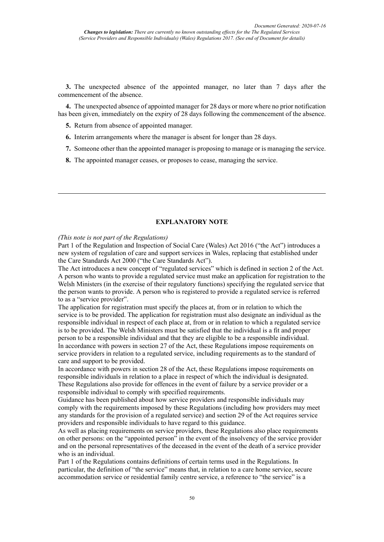**3.** The unexpected absence of the appointed manager, no later than 7 days after the commencement of the absence.

**4.** The unexpected absence of appointed manager for 28 days or more where no prior notification has been given, immediately on the expiry of 28 days following the commencement of the absence.

- **5.** Return from absence of appointed manager.
- **6.** Interim arrangements where the manager is absent for longer than 28 days.
- **7.** Someone other than the appointed manager is proposing to manage or is managing the service.
- **8.** The appointed manager ceases, or proposes to cease, managing the service.

## **EXPLANATORY NOTE**

*(This note is not part of the Regulations)*

Part 1 of the Regulation and Inspection of Social Care (Wales) Act 2016 ("the Act") introduces a new system of regulation of care and support services in Wales, replacing that established under the Care Standards Act 2000 ("the Care Standards Act").

The Act introduces a new concept of "regulated services" which is defined in section 2 of the Act. A person who wants to provide a regulated service must make an application for registration to the Welsh Ministers (in the exercise of their regulatory functions) specifying the regulated service that the person wants to provide. A person who is registered to provide a regulated service is referred to as a "service provider".

The application for registration must specify the places at, from or in relation to which the service is to be provided. The application for registration must also designate an individual as the responsible individual in respect of each place at, from or in relation to which a regulated service is to be provided. The Welsh Ministers must be satisfied that the individual is a fit and proper person to be a responsible individual and that they are eligible to be a responsible individual. In accordance with powers in section 27 of the Act, these Regulations impose requirements on service providers in relation to a regulated service, including requirements as to the standard of care and support to be provided.

In accordance with powers in section 28 of the Act, these Regulations impose requirements on responsible individuals in relation to a place in respect of which the individual is designated. These Regulations also provide for offences in the event of failure by a service provider or a responsible individual to comply with specified requirements.

Guidance has been published about how service providers and responsible individuals may comply with the requirements imposed by these Regulations (including how providers may meet any standards for the provision of a regulated service) and section 29 of the Act requires service providers and responsible individuals to have regard to this guidance.

As well as placing requirements on service providers, these Regulations also place requirements on other persons: on the "appointed person" in the event of the insolvency of the service provider and on the personal representatives of the deceased in the event of the death of a service provider who is an individual.

Part 1 of the Regulations contains definitions of certain terms used in the Regulations. In particular, the definition of "the service" means that, in relation to a care home service, secure accommodation service or residential family centre service, a reference to "the service" is a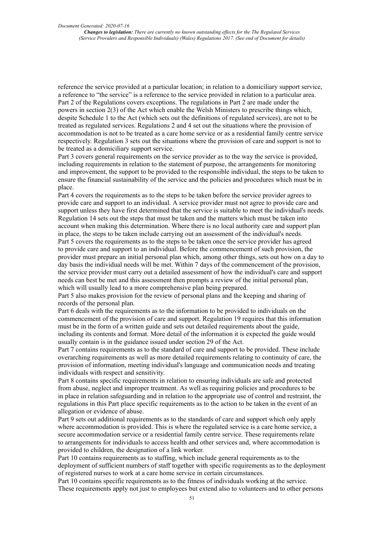reference the service provided at a particular location; in relation to a domiciliary support service, a reference to "the service" is a reference to the service provided in relation to a particular area. Part 2 of the Regulations covers exceptions. The regulations in Part 2 are made under the powers in section 2(3) of the Act which enable the Welsh Ministers to prescribe things which, despite Schedule 1 to the Act (which sets out the definitions of regulated services), are not to be treated as regulated services. Regulations 2 and 4 set out the situations where the provision of accommodation is not to be treated as a care home service or as a residential family centre service respectively. Regulation 3 sets out the situations where the provision of care and support is not to be treated as a domiciliary support service.

Part 3 covers general requirements on the service provider as to the way the service is provided, including requirements in relation to the statement of purpose, the arrangements for monitoring and improvement, the support to be provided to the responsible individual, the steps to be taken to ensure the financial sustainability of the service and the policies and procedures which must be in place.

Part 4 covers the requirements as to the steps to be taken before the service provider agrees to provide care and support to an individual. A service provider must not agree to provide care and support unless they have first determined that the service is suitable to meet the individual's needs. Regulation 14 sets out the steps that must be taken and the matters which must be taken into account when making this determination. Where there is no local authority care and support plan in place, the steps to be taken include carrying out an assessment of the individual's needs. Part 5 covers the requirements as to the steps to be taken once the service provider has agreed to provide care and support to an individual. Before the commencement of such provision, the provider must prepare an initial personal plan which, among other things, sets out how on a day to day basis the individual needs will be met. Within 7 days of the commencement of the provision, the service provider must carry out a detailed assessment of how the individual's care and support needs can best be met and this assessment then prompts a review of the initial personal plan, which will usually lead to a more comprehensive plan being prepared.

Part 5 also makes provision for the review of personal plans and the keeping and sharing of records of the personal plan.

Part 6 deals with the requirements as to the information to be provided to individuals on the commencement of the provision of care and support. Regulation 19 requires that this information must be in the form of a written guide and sets out detailed requirements about the guide, including its contents and format. More detail of the information it is expected the guide would usually contain is in the guidance issued under section 29 of the Act.

Part 7 contains requirements as to the standard of care and support to be provided. These include overarching requirements as well as more detailed requirements relating to continuity of care, the provision of information, meeting individual's language and communication needs and treating individuals with respect and sensitivity.

Part 8 contains specific requirements in relation to ensuring individuals are safe and protected from abuse, neglect and improper treatment. As well as requiring policies and procedures to be in place in relation safeguarding and in relation to the appropriate use of control and restraint, the regulations in this Part place specific requirements as to the action to be taken in the event of an allegation or evidence of abuse.

Part 9 sets out additional requirements as to the standards of care and support which only apply where accommodation is provided. This is where the regulated service is a care home service, a secure accommodation service or a residential family centre service. These requirements relate to arrangements for individuals to access health and other services and, where accommodation is provided to children, the designation of a link worker.

Part 10 contains requirements as to staffing, which include general requirements as to the deployment of sufficient numbers of staff together with specific requirements as to the deployment of registered nurses to work at a care home service in certain circumstances.

Part 10 contains specific requirements as to the fitness of individuals working at the service. These requirements apply not just to employees but extend also to volunteers and to other persons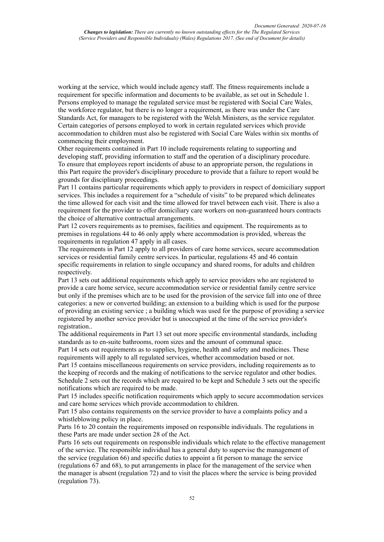working at the service, which would include agency staff. The fitness requirements include a requirement for specific information and documents to be available, as set out in Schedule 1. Persons employed to manage the regulated service must be registered with Social Care Wales, the workforce regulator, but there is no longer a requirement, as there was under the Care Standards Act, for managers to be registered with the Welsh Ministers, as the service regulator. Certain categories of persons employed to work in certain regulated services which provide accommodation to children must also be registered with Social Care Wales within six months of commencing their employment.

Other requirements contained in Part 10 include requirements relating to supporting and developing staff, providing information to staff and the operation of a disciplinary procedure. To ensure that employees report incidents of abuse to an appropriate person, the regulations in this Part require the provider's disciplinary procedure to provide that a failure to report would be grounds for disciplinary proceedings.

Part 11 contains particular requirements which apply to providers in respect of domiciliary support services. This includes a requirement for a "schedule of visits" to be prepared which delineates the time allowed for each visit and the time allowed for travel between each visit. There is also a requirement for the provider to offer domiciliary care workers on non-guaranteed hours contracts the choice of alternative contractual arrangements.

Part 12 covers requirements as to premises, facilities and equipment. The requirements as to premises in regulations 44 to 46 only apply where accommodation is provided, whereas the requirements in regulation 47 apply in all cases.

The requirements in Part 12 apply to all providers of care home services, secure accommodation services or residential family centre services. In particular, regulations 45 and 46 contain specific requirements in relation to single occupancy and shared rooms, for adults and children respectively.

Part 13 sets out additional requirements which apply to service providers who are registered to provide a care home service, secure accommodation service or residential family centre service but only if the premises which are to be used for the provision of the service fall into one of three categories: a new or converted building; an extension to a building which is used for the purpose of providing an existing service ; a building which was used for the purpose of providing a service registered by another service provider but is unoccupied at the time of the service provider's registration..

The additional requirements in Part 13 set out more specific environmental standards, including standards as to en-suite bathrooms, room sizes and the amount of communal space.

Part 14 sets out requirements as to supplies, hygiene, health and safety and medicines. These requirements will apply to all regulated services, whether accommodation based or not.

Part 15 contains miscellaneous requirements on service providers, including requirements as to the keeping of records and the making of notifications to the service regulator and other bodies. Schedule 2 sets out the records which are required to be kept and Schedule 3 sets out the specific notifications which are required to be made.

Part 15 includes specific notification requirements which apply to secure accommodation services and care home services which provide accommodation to children.

Part 15 also contains requirements on the service provider to have a complaints policy and a whistleblowing policy in place.

Parts 16 to 20 contain the requirements imposed on responsible individuals. The regulations in these Parts are made under section 28 of the Act.

Parts 16 sets out requirements on responsible individuals which relate to the effective management of the service. The responsible individual has a general duty to supervise the management of the service (regulation 66) and specific duties to appoint a fit person to manage the service (regulations 67 and 68), to put arrangements in place for the management of the service when the manager is absent (regulation 72) and to visit the places where the service is being provided (regulation 73).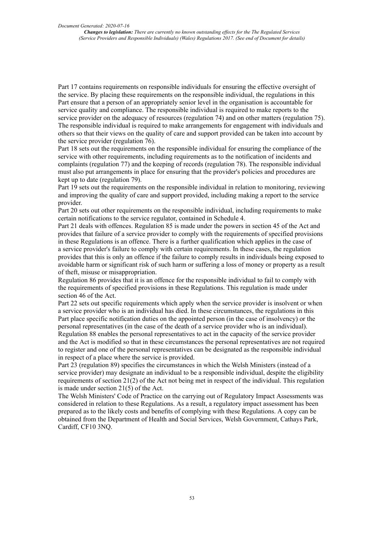Part 17 contains requirements on responsible individuals for ensuring the effective oversight of the service. By placing these requirements on the responsible individual, the regulations in this Part ensure that a person of an appropriately senior level in the organisation is accountable for service quality and compliance. The responsible individual is required to make reports to the service provider on the adequacy of resources (regulation 74) and on other matters (regulation 75). The responsible individual is required to make arrangements for engagement with individuals and others so that their views on the quality of care and support provided can be taken into account by the service provider (regulation 76).

Part 18 sets out the requirements on the responsible individual for ensuring the compliance of the service with other requirements, including requirements as to the notification of incidents and complaints (regulation 77) and the keeping of records (regulation 78). The responsible individual must also put arrangements in place for ensuring that the provider's policies and procedures are kept up to date (regulation 79).

Part 19 sets out the requirements on the responsible individual in relation to monitoring, reviewing and improving the quality of care and support provided, including making a report to the service provider.

Part 20 sets out other requirements on the responsible individual, including requirements to make certain notifications to the service regulator, contained in Schedule 4.

Part 21 deals with offences. Regulation 85 is made under the powers in section 45 of the Act and provides that failure of a service provider to comply with the requirements of specified provisions in these Regulations is an offence. There is a further qualification which applies in the case of a service provider's failure to comply with certain requirements. In these cases, the regulation provides that this is only an offence if the failure to comply results in individuals being exposed to avoidable harm or significant risk of such harm or suffering a loss of money or property as a result of theft, misuse or misappropriation.

Regulation 86 provides that it is an offence for the responsible individual to fail to comply with the requirements of specified provisions in these Regulations. This regulation is made under section 46 of the Act.

Part 22 sets out specific requirements which apply when the service provider is insolvent or when a service provider who is an individual has died. In these circumstances, the regulations in this Part place specific notification duties on the appointed person (in the case of insolvency) or the personal representatives (in the case of the death of a service provider who is an individual). Regulation 88 enables the personal representatives to act in the capacity of the service provider and the Act is modified so that in these circumstances the personal representatives are not required to register and one of the personal representatives can be designated as the responsible individual in respect of a place where the service is provided.

Part 23 (regulation 89) specifies the circumstances in which the Welsh Ministers (instead of a service provider) may designate an individual to be a responsible individual, despite the eligibility requirements of section 21(2) of the Act not being met in respect of the individual. This regulation is made under section 21(5) of the Act.

The Welsh Ministers' Code of Practice on the carrying out of Regulatory Impact Assessments was considered in relation to these Regulations. As a result, a regulatory impact assessment has been prepared as to the likely costs and benefits of complying with these Regulations. A copy can be obtained from the Department of Health and Social Services, Welsh Government, Cathays Park, Cardiff, CF10 3NQ.